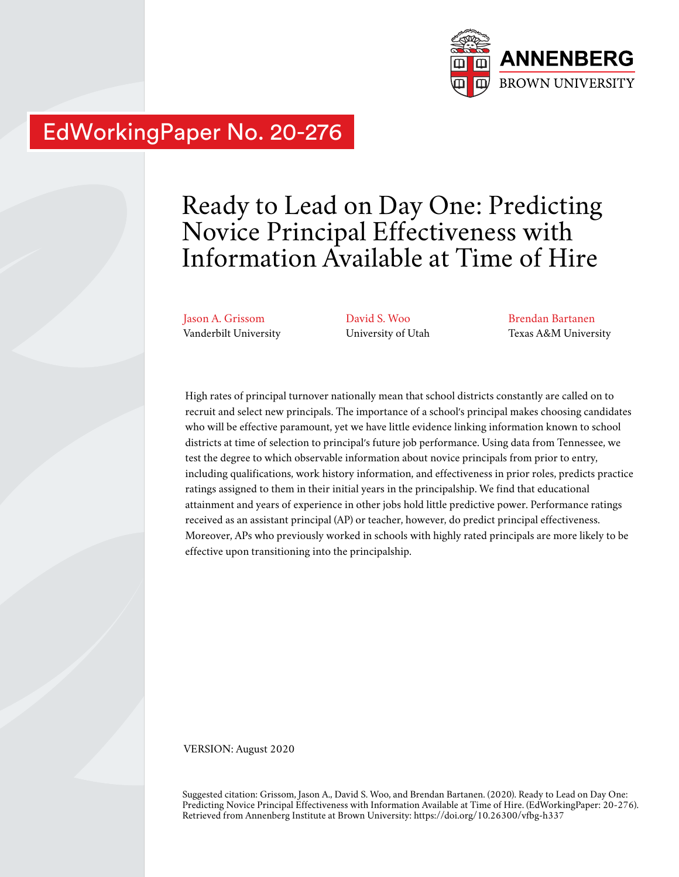

# EdWorkingPaper No. 20-276

# Ready to Lead on Day One: Predicting Novice Principal Effectiveness with Information Available at Time of Hire

Jason A. Grissom Vanderbilt University David S. Woo University of Utah

Brendan Bartanen Texas A&M University

High rates of principal turnover nationally mean that school districts constantly are called on to recruit and select new principals. The importance of a school's principal makes choosing candidates who will be effective paramount, yet we have little evidence linking information known to school districts at time of selection to principal's future job performance. Using data from Tennessee, we test the degree to which observable information about novice principals from prior to entry, including qualifications, work history information, and effectiveness in prior roles, predicts practice ratings assigned to them in their initial years in the principalship. We find that educational attainment and years of experience in other jobs hold little predictive power. Performance ratings received as an assistant principal (AP) or teacher, however, do predict principal effectiveness. Moreover, APs who previously worked in schools with highly rated principals are more likely to be effective upon transitioning into the principalship.

VERSION: August 2020

Suggested citation: Grissom, Jason A., David S. Woo, and Brendan Bartanen. (2020). Ready to Lead on Day One: Predicting Novice Principal Effectiveness with Information Available at Time of Hire. (EdWorkingPaper: 20-276). Retrieved from Annenberg Institute at Brown University: https://doi.org/10.26300/vfbg-h337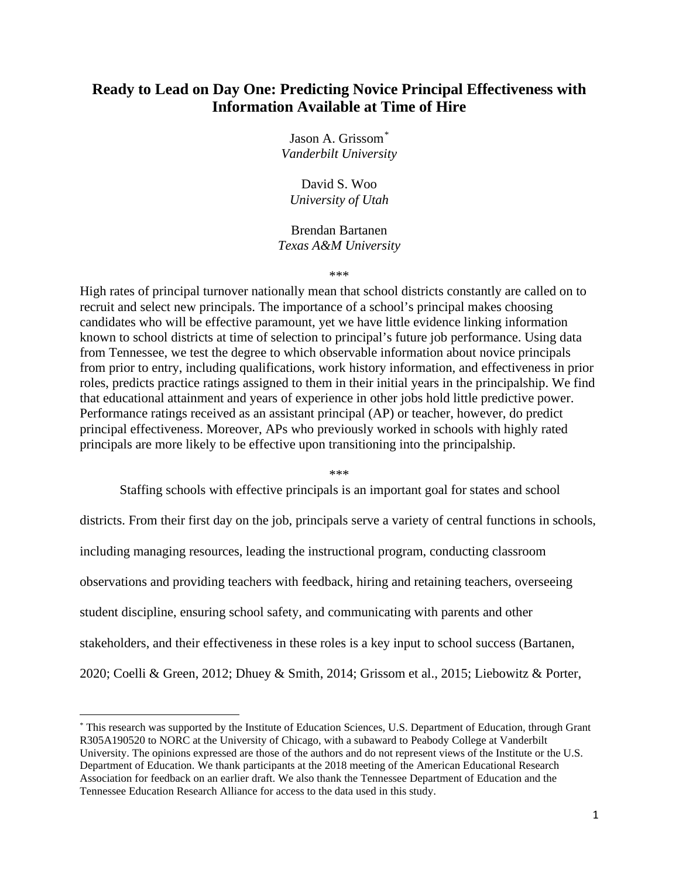# **Ready to Lead on Day One: Predicting Novice Principal Effectiveness with Information Available at Time of Hire**

Jason A. Grissom[\\*](#page-1-0) *Vanderbilt University*

David S. Woo *University of Utah*

Brendan Bartanen *Texas A&M University*

\*\*\*

High rates of principal turnover nationally mean that school districts constantly are called on to recruit and select new principals. The importance of a school's principal makes choosing candidates who will be effective paramount, yet we have little evidence linking information known to school districts at time of selection to principal's future job performance. Using data from Tennessee, we test the degree to which observable information about novice principals from prior to entry, including qualifications, work history information, and effectiveness in prior roles, predicts practice ratings assigned to them in their initial years in the principalship. We find that educational attainment and years of experience in other jobs hold little predictive power. Performance ratings received as an assistant principal (AP) or teacher, however, do predict principal effectiveness. Moreover, APs who previously worked in schools with highly rated principals are more likely to be effective upon transitioning into the principalship.

\*\*\*

Staffing schools with effective principals is an important goal for states and school

districts. From their first day on the job, principals serve a variety of central functions in schools, including managing resources, leading the instructional program, conducting classroom observations and providing teachers with feedback, hiring and retaining teachers, overseeing student discipline, ensuring school safety, and communicating with parents and other stakeholders, and their effectiveness in these roles is a key input to school success (Bartanen, 2020; Coelli & Green, 2012; Dhuey & Smith, 2014; Grissom et al., 2015; Liebowitz & Porter,

<span id="page-1-0"></span><sup>\*</sup> This research was supported by the Institute of Education Sciences, U.S. Department of Education, through Grant R305A190520 to NORC at the University of Chicago, with a subaward to Peabody College at Vanderbilt University. The opinions expressed are those of the authors and do not represent views of the Institute or the U.S. Department of Education. We thank participants at the 2018 meeting of the American Educational Research Association for feedback on an earlier draft. We also thank the Tennessee Department of Education and the Tennessee Education Research Alliance for access to the data used in this study.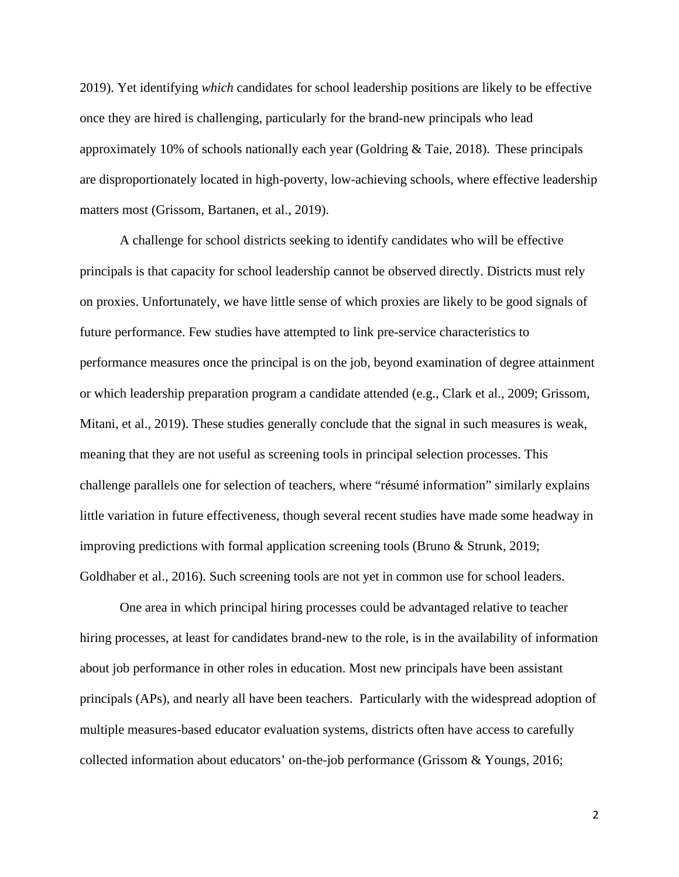2019). Yet identifying *which* candidates for school leadership positions are likely to be effective once they are hired is challenging, particularly for the brand-new principals who lead approximately 10% of schools nationally each year (Goldring & Taie, 2018). These principals are disproportionately located in high-poverty, low-achieving schools, where effective leadership matters most (Grissom, Bartanen, et al., 2019).

A challenge for school districts seeking to identify candidates who will be effective principals is that capacity for school leadership cannot be observed directly. Districts must rely on proxies. Unfortunately, we have little sense of which proxies are likely to be good signals of future performance. Few studies have attempted to link pre-service characteristics to performance measures once the principal is on the job, beyond examination of degree attainment or which leadership preparation program a candidate attended (e.g., Clark et al., 2009; Grissom, Mitani, et al., 2019). These studies generally conclude that the signal in such measures is weak, meaning that they are not useful as screening tools in principal selection processes. This challenge parallels one for selection of teachers, where "résumé information" similarly explains little variation in future effectiveness, though several recent studies have made some headway in improving predictions with formal application screening tools (Bruno & Strunk, 2019; Goldhaber et al., 2016). Such screening tools are not yet in common use for school leaders.

One area in which principal hiring processes could be advantaged relative to teacher hiring processes, at least for candidates brand-new to the role, is in the availability of information about job performance in other roles in education. Most new principals have been assistant principals (APs), and nearly all have been teachers. Particularly with the widespread adoption of multiple measures-based educator evaluation systems, districts often have access to carefully collected information about educators' on-the-job performance (Grissom & Youngs, 2016;

2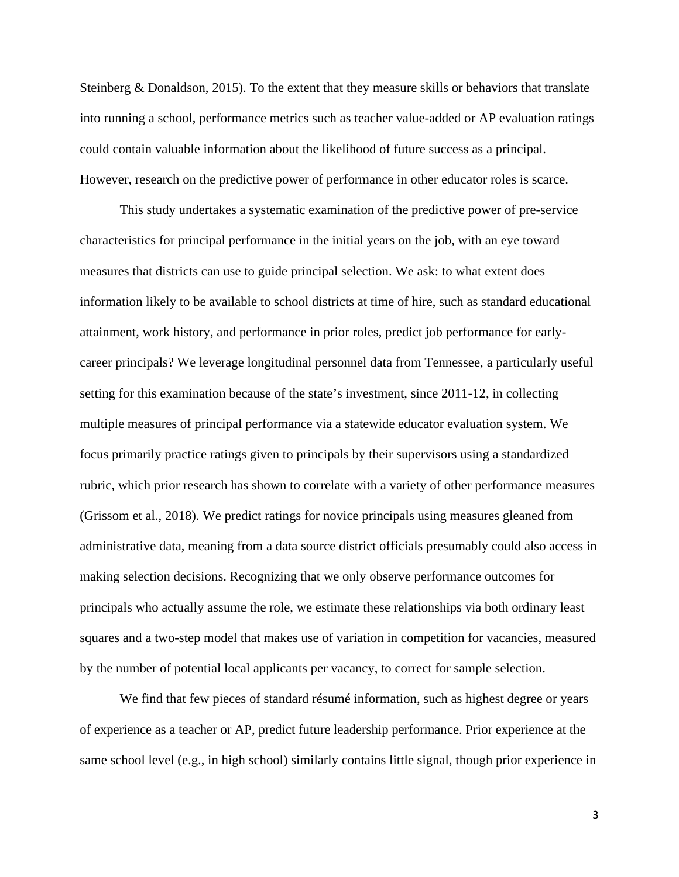Steinberg & Donaldson, 2015). To the extent that they measure skills or behaviors that translate into running a school, performance metrics such as teacher value-added or AP evaluation ratings could contain valuable information about the likelihood of future success as a principal. However, research on the predictive power of performance in other educator roles is scarce.

This study undertakes a systematic examination of the predictive power of pre-service characteristics for principal performance in the initial years on the job, with an eye toward measures that districts can use to guide principal selection. We ask: to what extent does information likely to be available to school districts at time of hire, such as standard educational attainment, work history, and performance in prior roles, predict job performance for earlycareer principals? We leverage longitudinal personnel data from Tennessee, a particularly useful setting for this examination because of the state's investment, since 2011-12, in collecting multiple measures of principal performance via a statewide educator evaluation system. We focus primarily practice ratings given to principals by their supervisors using a standardized rubric, which prior research has shown to correlate with a variety of other performance measures (Grissom et al., 2018). We predict ratings for novice principals using measures gleaned from administrative data, meaning from a data source district officials presumably could also access in making selection decisions. Recognizing that we only observe performance outcomes for principals who actually assume the role, we estimate these relationships via both ordinary least squares and a two-step model that makes use of variation in competition for vacancies, measured by the number of potential local applicants per vacancy, to correct for sample selection.

We find that few pieces of standard résumé information, such as highest degree or years of experience as a teacher or AP, predict future leadership performance. Prior experience at the same school level (e.g., in high school) similarly contains little signal, though prior experience in

3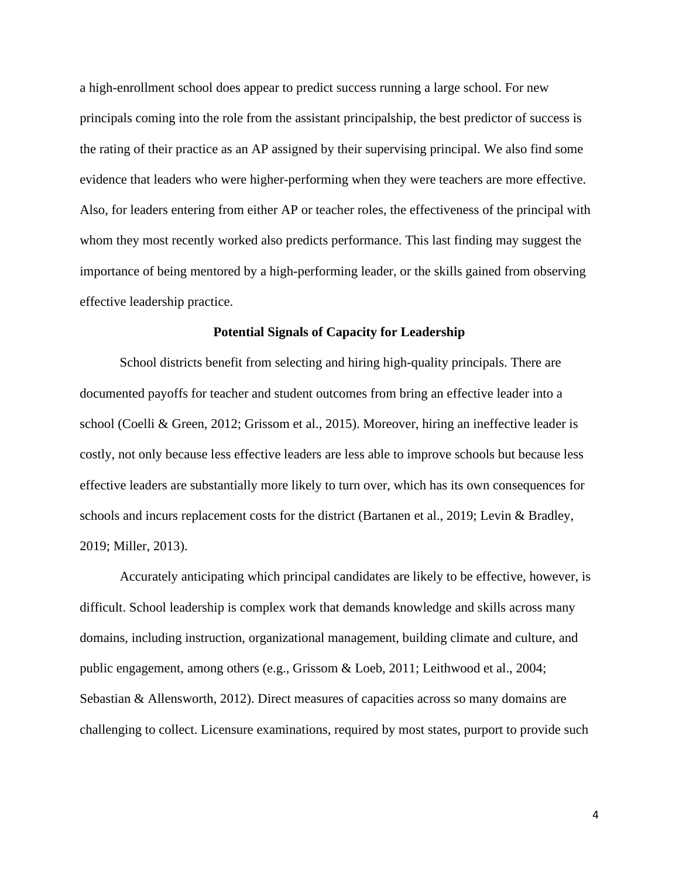a high-enrollment school does appear to predict success running a large school. For new principals coming into the role from the assistant principalship, the best predictor of success is the rating of their practice as an AP assigned by their supervising principal. We also find some evidence that leaders who were higher-performing when they were teachers are more effective. Also, for leaders entering from either AP or teacher roles, the effectiveness of the principal with whom they most recently worked also predicts performance. This last finding may suggest the importance of being mentored by a high-performing leader, or the skills gained from observing effective leadership practice.

# **Potential Signals of Capacity for Leadership**

School districts benefit from selecting and hiring high-quality principals. There are documented payoffs for teacher and student outcomes from bring an effective leader into a school (Coelli & Green, 2012; Grissom et al., 2015). Moreover, hiring an ineffective leader is costly, not only because less effective leaders are less able to improve schools but because less effective leaders are substantially more likely to turn over, which has its own consequences for schools and incurs replacement costs for the district (Bartanen et al., 2019; Levin & Bradley, 2019; Miller, 2013).

Accurately anticipating which principal candidates are likely to be effective, however, is difficult. School leadership is complex work that demands knowledge and skills across many domains, including instruction, organizational management, building climate and culture, and public engagement, among others (e.g., Grissom & Loeb, 2011; Leithwood et al., 2004; Sebastian & Allensworth, 2012). Direct measures of capacities across so many domains are challenging to collect. Licensure examinations, required by most states, purport to provide such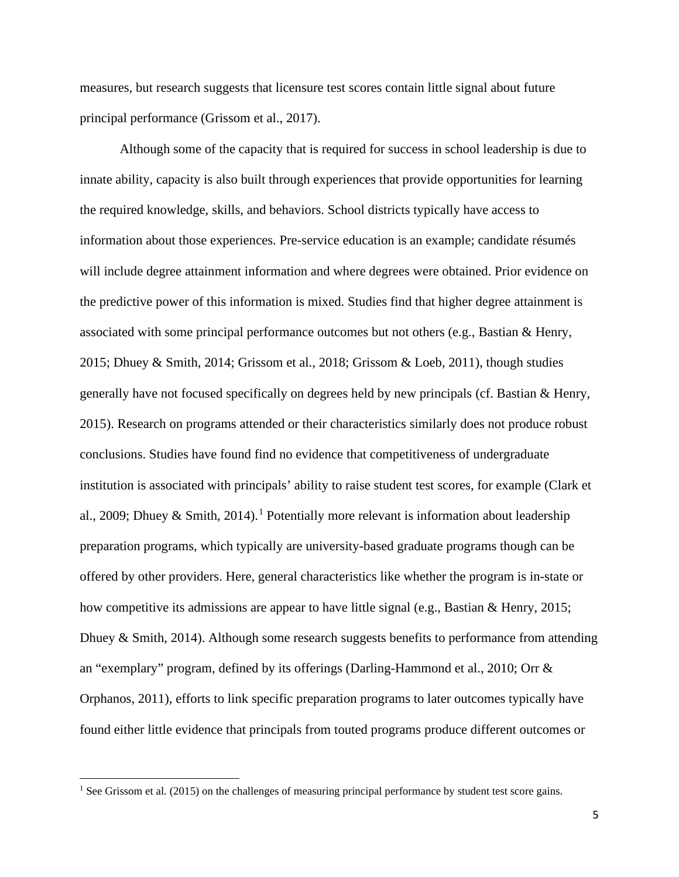measures, but research suggests that licensure test scores contain little signal about future principal performance (Grissom et al., 2017).

Although some of the capacity that is required for success in school leadership is due to innate ability, capacity is also built through experiences that provide opportunities for learning the required knowledge, skills, and behaviors. School districts typically have access to information about those experiences. Pre-service education is an example; candidate résumés will include degree attainment information and where degrees were obtained. Prior evidence on the predictive power of this information is mixed. Studies find that higher degree attainment is associated with some principal performance outcomes but not others (e.g., Bastian & Henry, 2015; Dhuey & Smith, 2014; Grissom et al., 2018; Grissom & Loeb, 2011), though studies generally have not focused specifically on degrees held by new principals (cf. Bastian & Henry, 2015). Research on programs attended or their characteristics similarly does not produce robust conclusions. Studies have found find no evidence that competitiveness of undergraduate institution is associated with principals' ability to raise student test scores, for example (Clark et al., 2009; Dhuey & Smith, 20[1](#page-5-0)4).<sup>1</sup> Potentially more relevant is information about leadership preparation programs, which typically are university-based graduate programs though can be offered by other providers. Here, general characteristics like whether the program is in-state or how competitive its admissions are appear to have little signal (e.g., Bastian & Henry, 2015; Dhuey & Smith, 2014). Although some research suggests benefits to performance from attending an "exemplary" program, defined by its offerings (Darling-Hammond et al., 2010; Orr & Orphanos, 2011), efforts to link specific preparation programs to later outcomes typically have found either little evidence that principals from touted programs produce different outcomes or

<span id="page-5-0"></span><sup>&</sup>lt;sup>1</sup> See Grissom et al. (2015) on the challenges of measuring principal performance by student test score gains.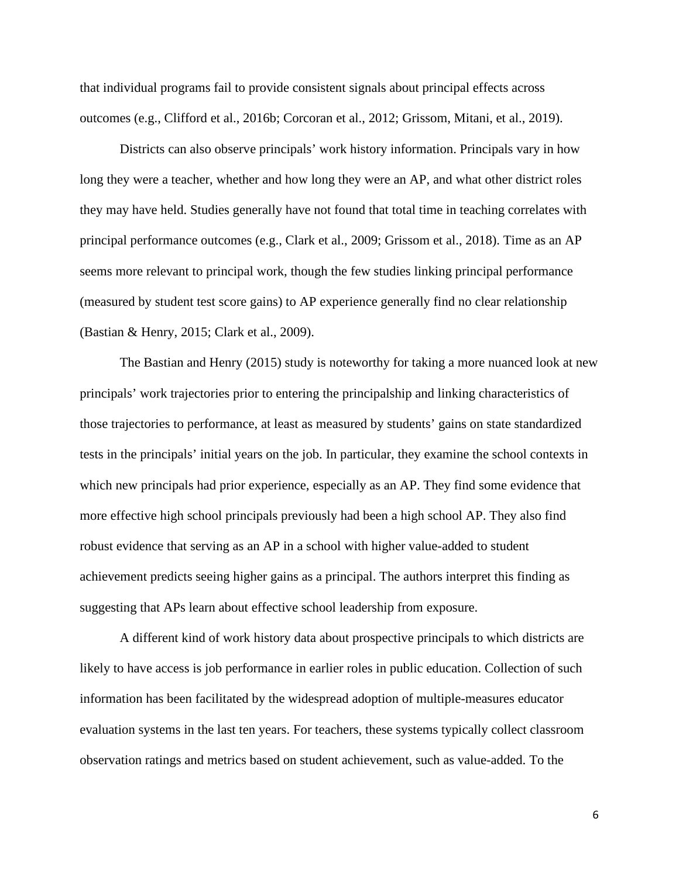that individual programs fail to provide consistent signals about principal effects across outcomes (e.g., Clifford et al., 2016b; Corcoran et al., 2012; Grissom, Mitani, et al., 2019).

Districts can also observe principals' work history information. Principals vary in how long they were a teacher, whether and how long they were an AP, and what other district roles they may have held. Studies generally have not found that total time in teaching correlates with principal performance outcomes (e.g., Clark et al., 2009; Grissom et al., 2018). Time as an AP seems more relevant to principal work, though the few studies linking principal performance (measured by student test score gains) to AP experience generally find no clear relationship (Bastian & Henry, 2015; Clark et al., 2009).

The Bastian and Henry (2015) study is noteworthy for taking a more nuanced look at new principals' work trajectories prior to entering the principalship and linking characteristics of those trajectories to performance, at least as measured by students' gains on state standardized tests in the principals' initial years on the job. In particular, they examine the school contexts in which new principals had prior experience, especially as an AP. They find some evidence that more effective high school principals previously had been a high school AP. They also find robust evidence that serving as an AP in a school with higher value-added to student achievement predicts seeing higher gains as a principal. The authors interpret this finding as suggesting that APs learn about effective school leadership from exposure.

A different kind of work history data about prospective principals to which districts are likely to have access is job performance in earlier roles in public education. Collection of such information has been facilitated by the widespread adoption of multiple-measures educator evaluation systems in the last ten years. For teachers, these systems typically collect classroom observation ratings and metrics based on student achievement, such as value-added. To the

6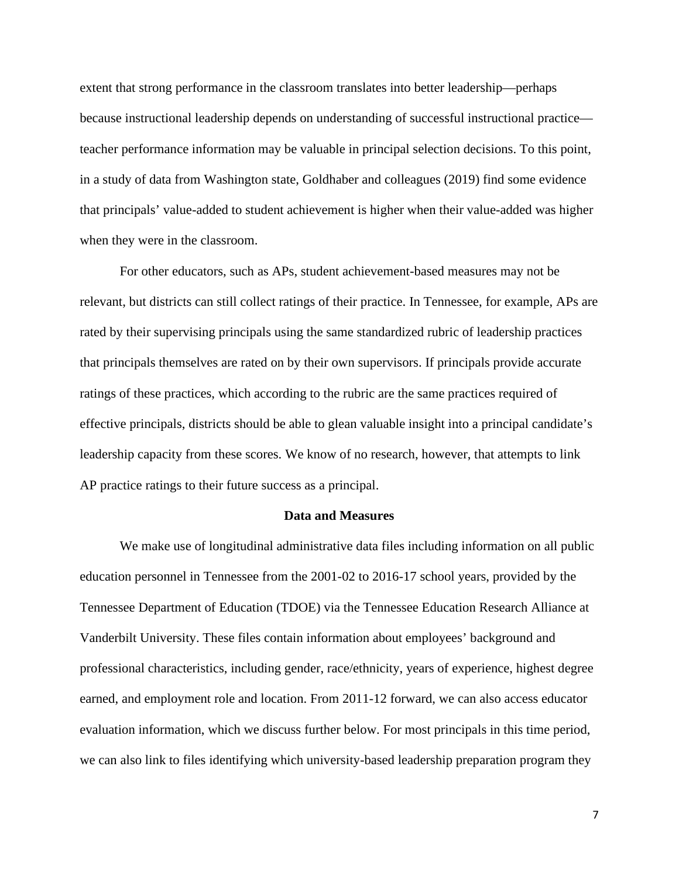extent that strong performance in the classroom translates into better leadership—perhaps because instructional leadership depends on understanding of successful instructional practice teacher performance information may be valuable in principal selection decisions. To this point, in a study of data from Washington state, Goldhaber and colleagues (2019) find some evidence that principals' value-added to student achievement is higher when their value-added was higher when they were in the classroom.

For other educators, such as APs, student achievement-based measures may not be relevant, but districts can still collect ratings of their practice. In Tennessee, for example, APs are rated by their supervising principals using the same standardized rubric of leadership practices that principals themselves are rated on by their own supervisors. If principals provide accurate ratings of these practices, which according to the rubric are the same practices required of effective principals, districts should be able to glean valuable insight into a principal candidate's leadership capacity from these scores. We know of no research, however, that attempts to link AP practice ratings to their future success as a principal.

#### **Data and Measures**

We make use of longitudinal administrative data files including information on all public education personnel in Tennessee from the 2001-02 to 2016-17 school years, provided by the Tennessee Department of Education (TDOE) via the Tennessee Education Research Alliance at Vanderbilt University. These files contain information about employees' background and professional characteristics, including gender, race/ethnicity, years of experience, highest degree earned, and employment role and location. From 2011-12 forward, we can also access educator evaluation information, which we discuss further below. For most principals in this time period, we can also link to files identifying which university-based leadership preparation program they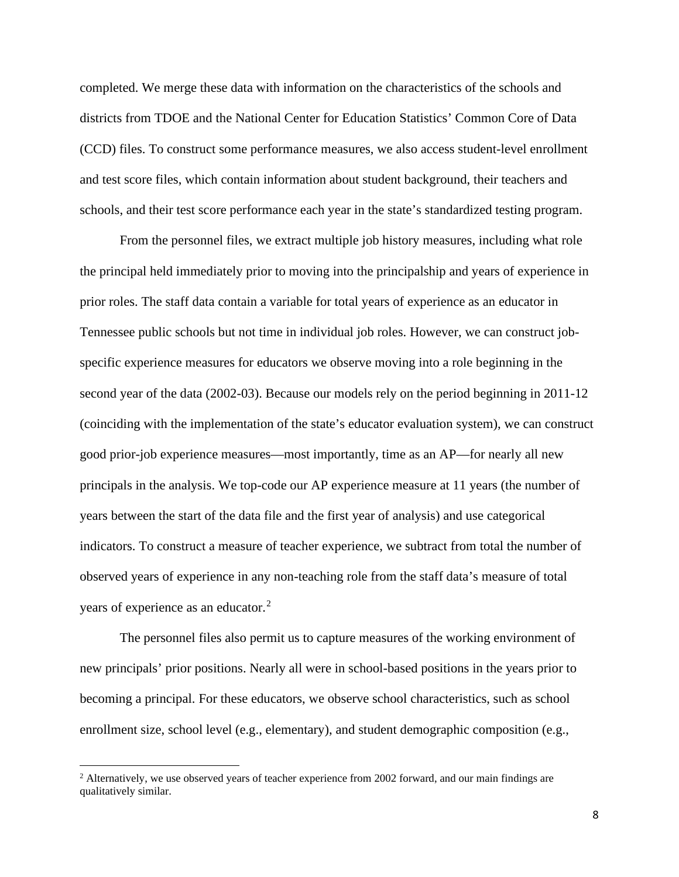completed. We merge these data with information on the characteristics of the schools and districts from TDOE and the National Center for Education Statistics' Common Core of Data (CCD) files. To construct some performance measures, we also access student-level enrollment and test score files, which contain information about student background, their teachers and schools, and their test score performance each year in the state's standardized testing program.

From the personnel files, we extract multiple job history measures, including what role the principal held immediately prior to moving into the principalship and years of experience in prior roles. The staff data contain a variable for total years of experience as an educator in Tennessee public schools but not time in individual job roles. However, we can construct jobspecific experience measures for educators we observe moving into a role beginning in the second year of the data (2002-03). Because our models rely on the period beginning in 2011-12 (coinciding with the implementation of the state's educator evaluation system), we can construct good prior-job experience measures—most importantly, time as an AP—for nearly all new principals in the analysis. We top-code our AP experience measure at 11 years (the number of years between the start of the data file and the first year of analysis) and use categorical indicators. To construct a measure of teacher experience, we subtract from total the number of observed years of experience in any non-teaching role from the staff data's measure of total years of experience as an educator.<sup>[2](#page-8-0)</sup>

The personnel files also permit us to capture measures of the working environment of new principals' prior positions. Nearly all were in school-based positions in the years prior to becoming a principal. For these educators, we observe school characteristics, such as school enrollment size, school level (e.g., elementary), and student demographic composition (e.g.,

<span id="page-8-0"></span><sup>&</sup>lt;sup>2</sup> Alternatively, we use observed years of teacher experience from 2002 forward, and our main findings are qualitatively similar.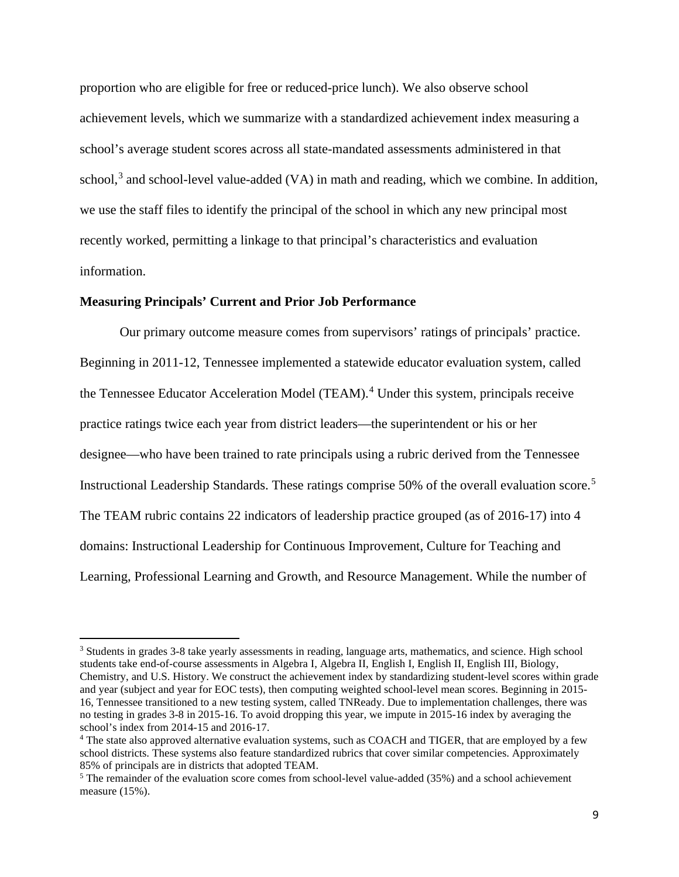proportion who are eligible for free or reduced-price lunch). We also observe school achievement levels, which we summarize with a standardized achievement index measuring a school's average student scores across all state-mandated assessments administered in that school,<sup>[3](#page-9-0)</sup> and school-level value-added (VA) in math and reading, which we combine. In addition, we use the staff files to identify the principal of the school in which any new principal most recently worked, permitting a linkage to that principal's characteristics and evaluation information.

# **Measuring Principals' Current and Prior Job Performance**

Our primary outcome measure comes from supervisors' ratings of principals' practice. Beginning in 2011-12, Tennessee implemented a statewide educator evaluation system, called the Tennessee Educator Acceleration Model (TEAM).<sup>[4](#page-9-1)</sup> Under this system, principals receive practice ratings twice each year from district leaders—the superintendent or his or her designee—who have been trained to rate principals using a rubric derived from the Tennessee Instructional Leadership Standards. These ratings comprise 50% of the overall evaluation score.[5](#page-9-2) The TEAM rubric contains 22 indicators of leadership practice grouped (as of 2016-17) into 4 domains: Instructional Leadership for Continuous Improvement, Culture for Teaching and Learning, Professional Learning and Growth, and Resource Management. While the number of

<span id="page-9-0"></span><sup>&</sup>lt;sup>3</sup> Students in grades 3-8 take yearly assessments in reading, language arts, mathematics, and science. High school students take end-of-course assessments in Algebra I, Algebra II, English I, English II, English III, Biology, Chemistry, and U.S. History. We construct the achievement index by standardizing student-level scores within grade and year (subject and year for EOC tests), then computing weighted school-level mean scores. Beginning in 2015- 16, Tennessee transitioned to a new testing system, called TNReady. Due to implementation challenges, there was no testing in grades 3-8 in 2015-16. To avoid dropping this year, we impute in 2015-16 index by averaging the school's index from 2014-15 and 2016-17.<br><sup>4</sup> The state also approved alternative evaluation systems, such as COACH and TIGER, that are employed by a few

<span id="page-9-1"></span>school districts. These systems also feature standardized rubrics that cover similar competencies. Approximately 85% of principals are in districts that adopted TEAM.

<span id="page-9-2"></span> $5$  The remainder of the evaluation score comes from school-level value-added (35%) and a school achievement measure (15%).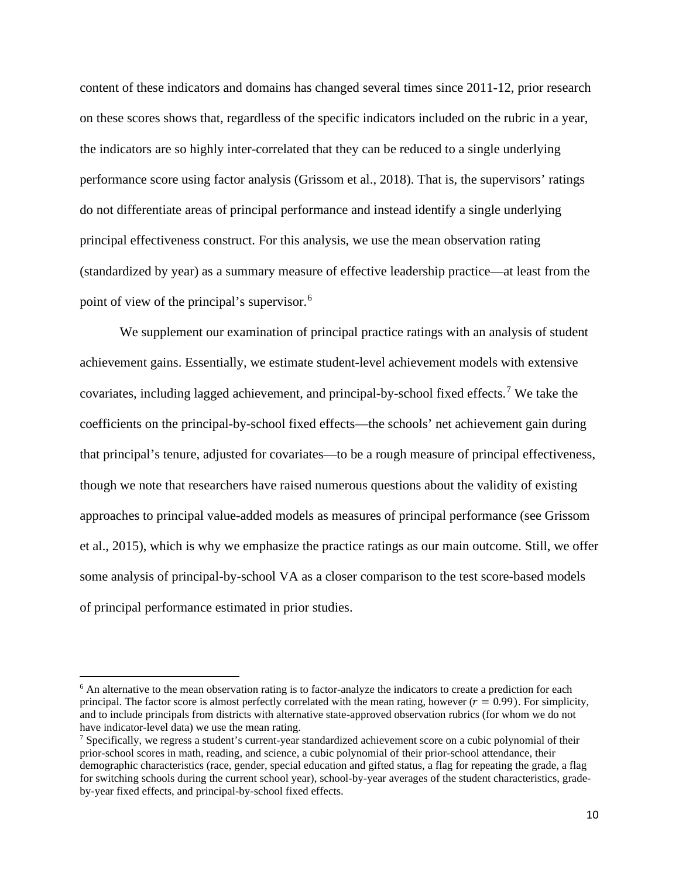content of these indicators and domains has changed several times since 2011-12, prior research on these scores shows that, regardless of the specific indicators included on the rubric in a year, the indicators are so highly inter-correlated that they can be reduced to a single underlying performance score using factor analysis (Grissom et al., 2018). That is, the supervisors' ratings do not differentiate areas of principal performance and instead identify a single underlying principal effectiveness construct. For this analysis, we use the mean observation rating (standardized by year) as a summary measure of effective leadership practice—at least from the point of view of the principal's supervisor.[6](#page-10-0)

We supplement our examination of principal practice ratings with an analysis of student achievement gains. Essentially, we estimate student-level achievement models with extensive covariates, including lagged achievement, and principal-by-school fixed effects.[7](#page-10-1) We take the coefficients on the principal-by-school fixed effects—the schools' net achievement gain during that principal's tenure, adjusted for covariates—to be a rough measure of principal effectiveness, though we note that researchers have raised numerous questions about the validity of existing approaches to principal value-added models as measures of principal performance (see Grissom et al., 2015), which is why we emphasize the practice ratings as our main outcome. Still, we offer some analysis of principal-by-school VA as a closer comparison to the test score-based models of principal performance estimated in prior studies.

<span id="page-10-0"></span><sup>&</sup>lt;sup>6</sup> An alternative to the mean observation rating is to factor-analyze the indicators to create a prediction for each principal. The factor score is almost perfectly correlated with the mean rating, however  $(r = 0.99)$ . For simplicity, and to include principals from districts with alternative state-approved observation rubrics (for whom we do not have indicator-level data) we use the mean rating.

<span id="page-10-1"></span><sup>&</sup>lt;sup>7</sup> Specifically, we regress a student's current-year standardized achievement score on a cubic polynomial of their prior-school scores in math, reading, and science, a cubic polynomial of their prior-school attendance, their demographic characteristics (race, gender, special education and gifted status, a flag for repeating the grade, a flag for switching schools during the current school year), school-by-year averages of the student characteristics, gradeby-year fixed effects, and principal-by-school fixed effects.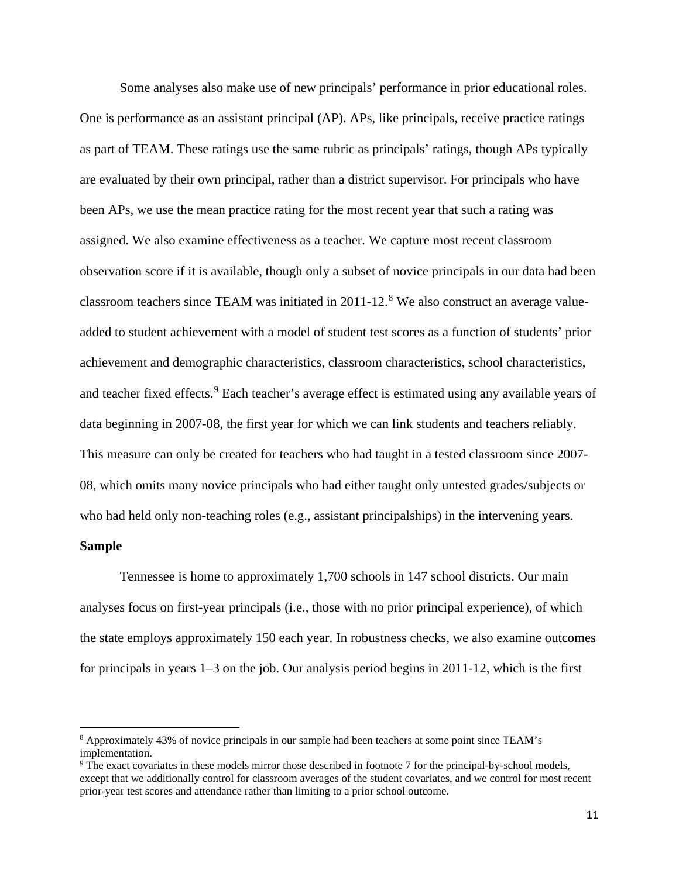Some analyses also make use of new principals' performance in prior educational roles. One is performance as an assistant principal (AP). APs, like principals, receive practice ratings as part of TEAM. These ratings use the same rubric as principals' ratings, though APs typically are evaluated by their own principal, rather than a district supervisor. For principals who have been APs, we use the mean practice rating for the most recent year that such a rating was assigned. We also examine effectiveness as a teacher. We capture most recent classroom observation score if it is available, though only a subset of novice principals in our data had been classroom teachers since TEAM was initiated in 2011-12.<sup>[8](#page-11-0)</sup> We also construct an average valueadded to student achievement with a model of student test scores as a function of students' prior achievement and demographic characteristics, classroom characteristics, school characteristics, and teacher fixed effects. [9](#page-11-1) Each teacher's average effect is estimated using any available years of data beginning in 2007-08, the first year for which we can link students and teachers reliably. This measure can only be created for teachers who had taught in a tested classroom since 2007- 08, which omits many novice principals who had either taught only untested grades/subjects or who had held only non-teaching roles (e.g., assistant principalships) in the intervening years.

# **Sample**

Tennessee is home to approximately 1,700 schools in 147 school districts. Our main analyses focus on first-year principals (i.e., those with no prior principal experience), of which the state employs approximately 150 each year. In robustness checks, we also examine outcomes for principals in years 1–3 on the job. Our analysis period begins in 2011-12, which is the first

<span id="page-11-0"></span><sup>8</sup> Approximately 43% of novice principals in our sample had been teachers at some point since TEAM's implementation.

<span id="page-11-1"></span><sup>9</sup> The exact covariates in these models mirror those described in footnote 7 for the principal-by-school models, except that we additionally control for classroom averages of the student covariates, and we control for most recent prior-year test scores and attendance rather than limiting to a prior school outcome.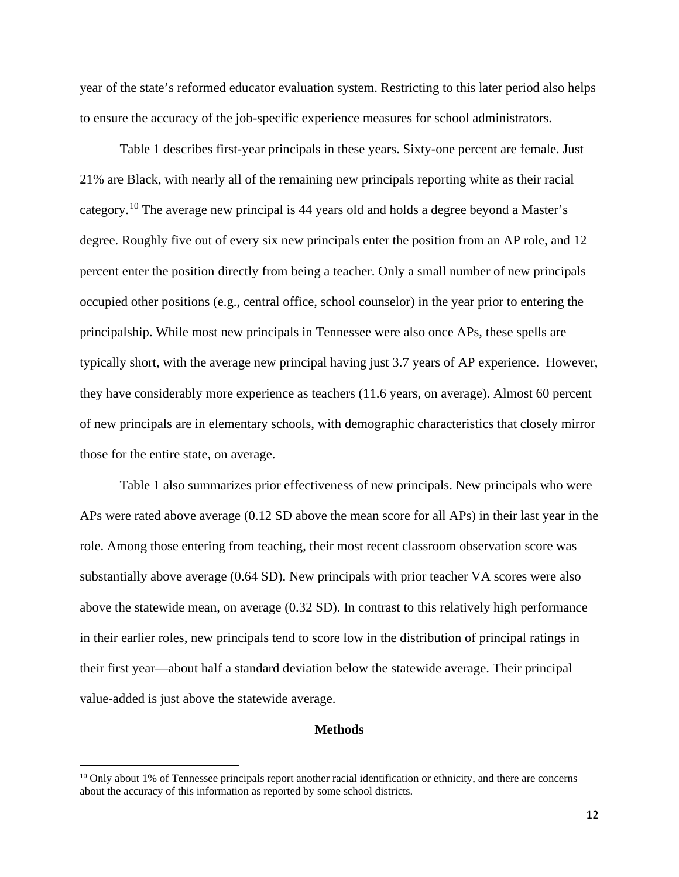year of the state's reformed educator evaluation system. Restricting to this later period also helps to ensure the accuracy of the job-specific experience measures for school administrators.

Table 1 describes first-year principals in these years. Sixty-one percent are female. Just 21% are Black, with nearly all of the remaining new principals reporting white as their racial category.[10](#page-12-0) The average new principal is 44 years old and holds a degree beyond a Master's degree. Roughly five out of every six new principals enter the position from an AP role, and 12 percent enter the position directly from being a teacher. Only a small number of new principals occupied other positions (e.g., central office, school counselor) in the year prior to entering the principalship. While most new principals in Tennessee were also once APs, these spells are typically short, with the average new principal having just 3.7 years of AP experience. However, they have considerably more experience as teachers (11.6 years, on average). Almost 60 percent of new principals are in elementary schools, with demographic characteristics that closely mirror those for the entire state, on average.

Table 1 also summarizes prior effectiveness of new principals. New principals who were APs were rated above average (0.12 SD above the mean score for all APs) in their last year in the role. Among those entering from teaching, their most recent classroom observation score was substantially above average (0.64 SD). New principals with prior teacher VA scores were also above the statewide mean, on average (0.32 SD). In contrast to this relatively high performance in their earlier roles, new principals tend to score low in the distribution of principal ratings in their first year—about half a standard deviation below the statewide average. Their principal value-added is just above the statewide average.

# **Methods**

<span id="page-12-0"></span> $10$  Only about 1% of Tennessee principals report another racial identification or ethnicity, and there are concerns about the accuracy of this information as reported by some school districts.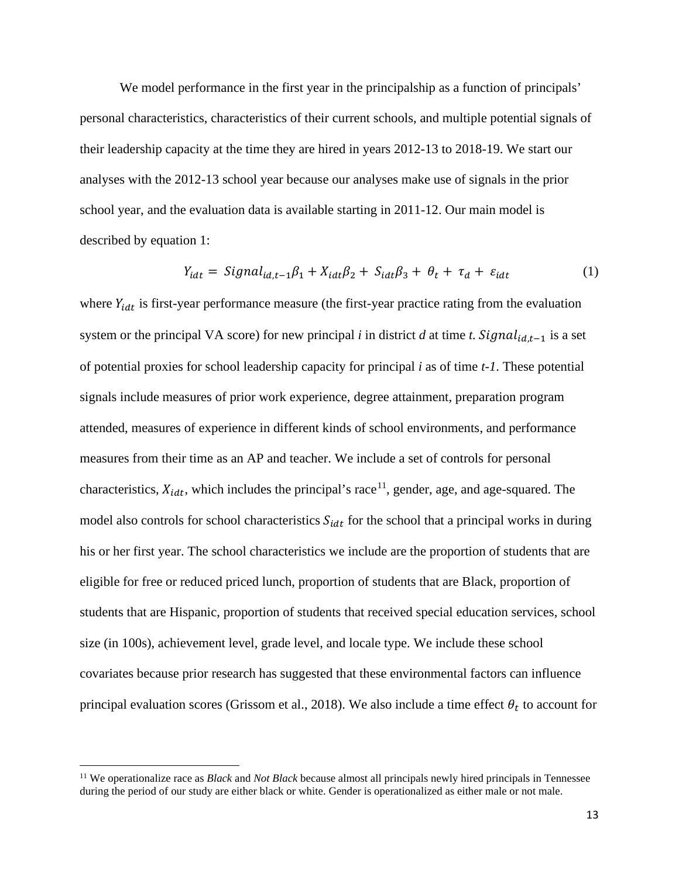We model performance in the first year in the principalship as a function of principals' personal characteristics, characteristics of their current schools, and multiple potential signals of their leadership capacity at the time they are hired in years 2012-13 to 2018-19. We start our analyses with the 2012-13 school year because our analyses make use of signals in the prior school year, and the evaluation data is available starting in 2011-12. Our main model is described by equation 1:

$$
Y_{idt} = Signal_{id,t-1}\beta_1 + X_{idt}\beta_2 + S_{idt}\beta_3 + \theta_t + \tau_d + \varepsilon_{idt}
$$
 (1)

where  $Y_{idt}$  is first-year performance measure (the first-year practice rating from the evaluation system or the principal VA score) for new principal *i* in district *d* at time *t*. Signal<sub>id,t-1</sub> is a set of potential proxies for school leadership capacity for principal *i* as of time *t-1*. These potential signals include measures of prior work experience, degree attainment, preparation program attended, measures of experience in different kinds of school environments, and performance measures from their time as an AP and teacher. We include a set of controls for personal characteristics,  $X_{idt}$ , which includes the principal's race<sup>11</sup>, gender, age, and age-squared. The model also controls for school characteristics  $S_{i}$  for the school that a principal works in during his or her first year. The school characteristics we include are the proportion of students that are eligible for free or reduced priced lunch, proportion of students that are Black, proportion of students that are Hispanic, proportion of students that received special education services, school size (in 100s), achievement level, grade level, and locale type. We include these school covariates because prior research has suggested that these environmental factors can influence principal evaluation scores (Grissom et al., 2018). We also include a time effect  $\theta_t$  to account for

<span id="page-13-0"></span><sup>11</sup> We operationalize race as *Black* and *Not Black* because almost all principals newly hired principals in Tennessee during the period of our study are either black or white. Gender is operationalized as either male or not male.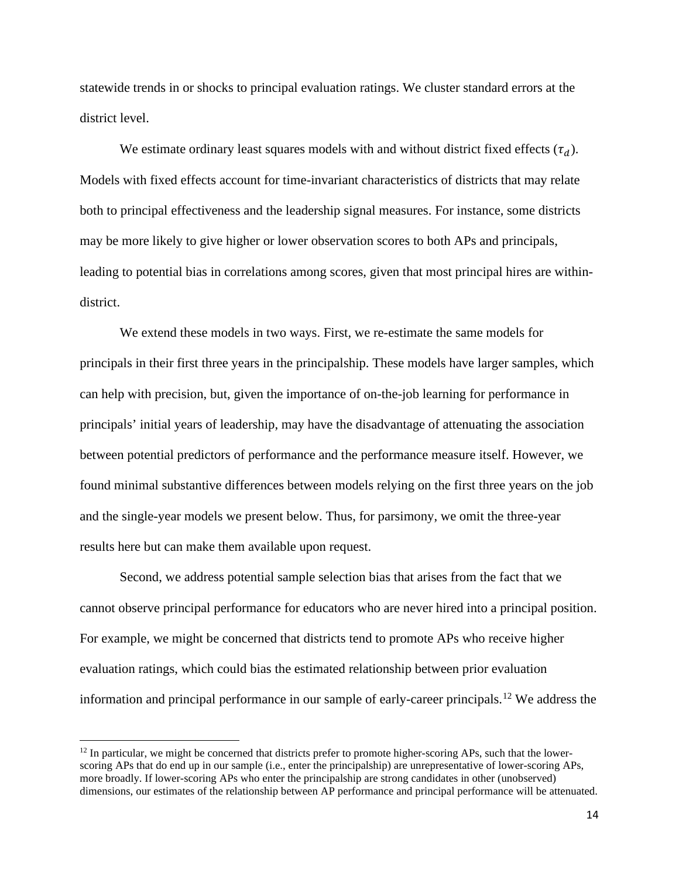statewide trends in or shocks to principal evaluation ratings. We cluster standard errors at the district level.

We estimate ordinary least squares models with and without district fixed effects  $(\tau_d)$ . Models with fixed effects account for time-invariant characteristics of districts that may relate both to principal effectiveness and the leadership signal measures. For instance, some districts may be more likely to give higher or lower observation scores to both APs and principals, leading to potential bias in correlations among scores, given that most principal hires are withindistrict.

We extend these models in two ways. First, we re-estimate the same models for principals in their first three years in the principalship. These models have larger samples, which can help with precision, but, given the importance of on-the-job learning for performance in principals' initial years of leadership, may have the disadvantage of attenuating the association between potential predictors of performance and the performance measure itself. However, we found minimal substantive differences between models relying on the first three years on the job and the single-year models we present below. Thus, for parsimony, we omit the three-year results here but can make them available upon request.

Second, we address potential sample selection bias that arises from the fact that we cannot observe principal performance for educators who are never hired into a principal position. For example, we might be concerned that districts tend to promote APs who receive higher evaluation ratings, which could bias the estimated relationship between prior evaluation information and principal performance in our sample of early-career principals.[12](#page-14-0) We address the

<span id="page-14-0"></span> $12$  In particular, we might be concerned that districts prefer to promote higher-scoring APs, such that the lowerscoring APs that do end up in our sample (i.e., enter the principalship) are unrepresentative of lower-scoring APs, more broadly. If lower-scoring APs who enter the principalship are strong candidates in other (unobserved) dimensions, our estimates of the relationship between AP performance and principal performance will be attenuated.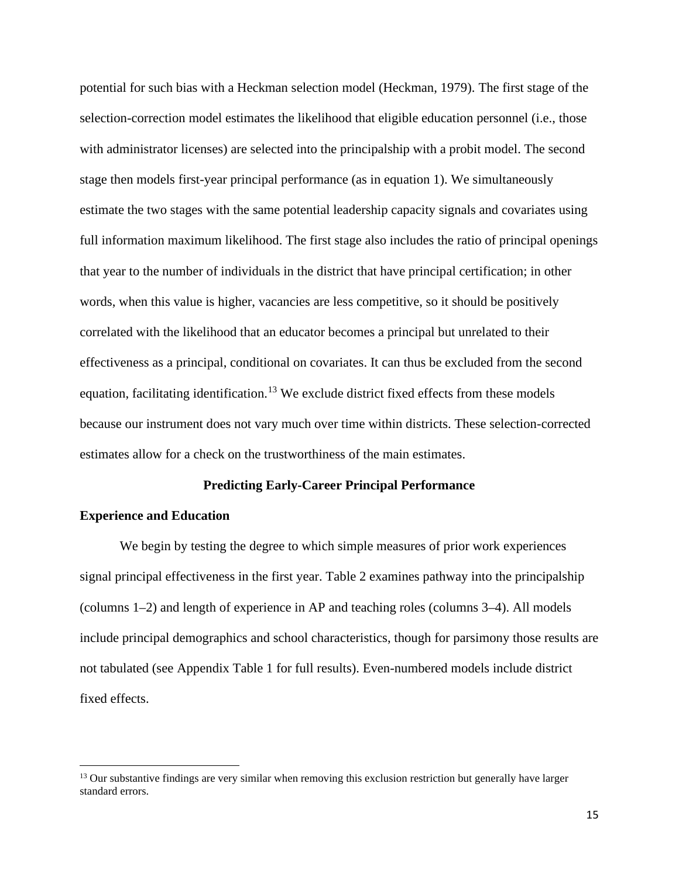potential for such bias with a Heckman selection model (Heckman, 1979). The first stage of the selection-correction model estimates the likelihood that eligible education personnel (i.e., those with administrator licenses) are selected into the principalship with a probit model. The second stage then models first-year principal performance (as in equation 1). We simultaneously estimate the two stages with the same potential leadership capacity signals and covariates using full information maximum likelihood. The first stage also includes the ratio of principal openings that year to the number of individuals in the district that have principal certification; in other words, when this value is higher, vacancies are less competitive, so it should be positively correlated with the likelihood that an educator becomes a principal but unrelated to their effectiveness as a principal, conditional on covariates. It can thus be excluded from the second equation, facilitating identification.<sup>[13](#page-15-0)</sup> We exclude district fixed effects from these models because our instrument does not vary much over time within districts. These selection-corrected estimates allow for a check on the trustworthiness of the main estimates.

#### **Predicting Early-Career Principal Performance**

# **Experience and Education**

We begin by testing the degree to which simple measures of prior work experiences signal principal effectiveness in the first year. Table 2 examines pathway into the principalship (columns 1–2) and length of experience in AP and teaching roles (columns 3–4). All models include principal demographics and school characteristics, though for parsimony those results are not tabulated (see Appendix Table 1 for full results). Even-numbered models include district fixed effects.

<span id="page-15-0"></span><sup>&</sup>lt;sup>13</sup> Our substantive findings are very similar when removing this exclusion restriction but generally have larger standard errors.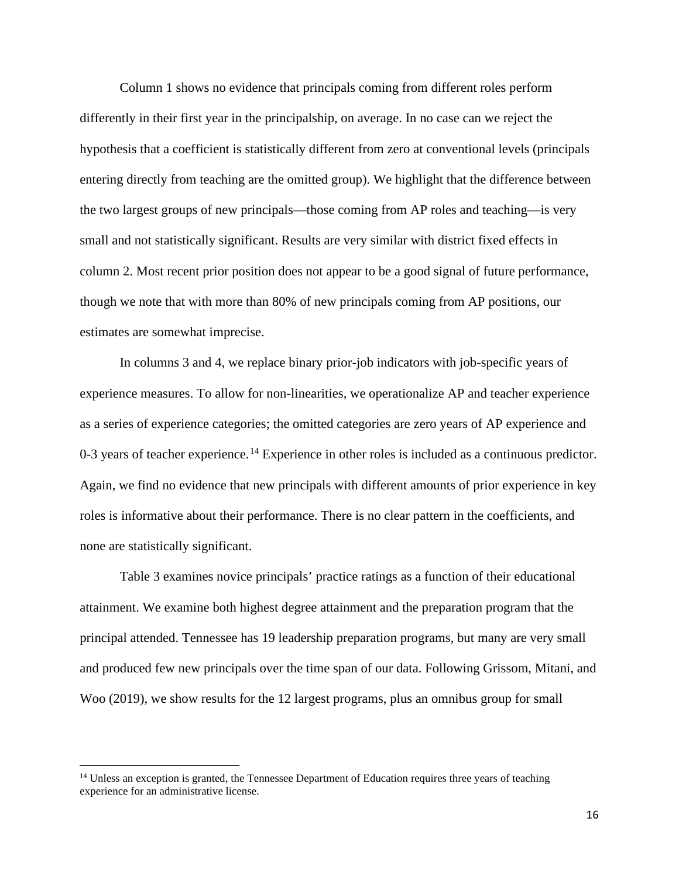Column 1 shows no evidence that principals coming from different roles perform differently in their first year in the principalship, on average. In no case can we reject the hypothesis that a coefficient is statistically different from zero at conventional levels (principals entering directly from teaching are the omitted group). We highlight that the difference between the two largest groups of new principals—those coming from AP roles and teaching—is very small and not statistically significant. Results are very similar with district fixed effects in column 2. Most recent prior position does not appear to be a good signal of future performance, though we note that with more than 80% of new principals coming from AP positions, our estimates are somewhat imprecise.

In columns 3 and 4, we replace binary prior-job indicators with job-specific years of experience measures. To allow for non-linearities, we operationalize AP and teacher experience as a series of experience categories; the omitted categories are zero years of AP experience and 0-3 years of teacher experience.<sup>[14](#page-16-0)</sup> Experience in other roles is included as a continuous predictor. Again, we find no evidence that new principals with different amounts of prior experience in key roles is informative about their performance. There is no clear pattern in the coefficients, and none are statistically significant.

Table 3 examines novice principals' practice ratings as a function of their educational attainment. We examine both highest degree attainment and the preparation program that the principal attended. Tennessee has 19 leadership preparation programs, but many are very small and produced few new principals over the time span of our data. Following Grissom, Mitani, and Woo (2019), we show results for the 12 largest programs, plus an omnibus group for small

<span id="page-16-0"></span><sup>&</sup>lt;sup>14</sup> Unless an exception is granted, the Tennessee Department of Education requires three years of teaching experience for an administrative license.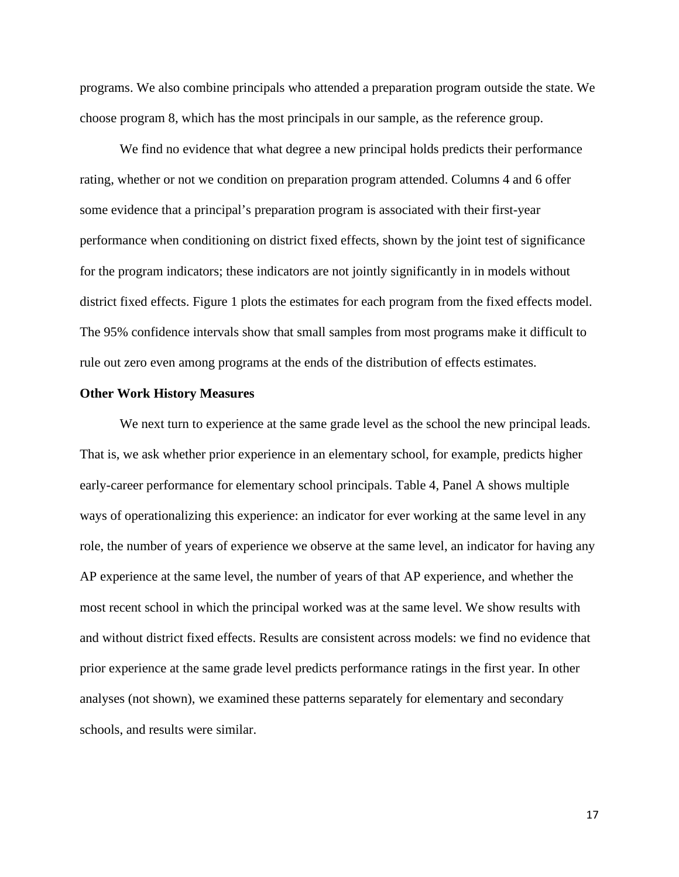programs. We also combine principals who attended a preparation program outside the state. We choose program 8, which has the most principals in our sample, as the reference group.

We find no evidence that what degree a new principal holds predicts their performance rating, whether or not we condition on preparation program attended. Columns 4 and 6 offer some evidence that a principal's preparation program is associated with their first-year performance when conditioning on district fixed effects, shown by the joint test of significance for the program indicators; these indicators are not jointly significantly in in models without district fixed effects. Figure 1 plots the estimates for each program from the fixed effects model. The 95% confidence intervals show that small samples from most programs make it difficult to rule out zero even among programs at the ends of the distribution of effects estimates.

#### **Other Work History Measures**

We next turn to experience at the same grade level as the school the new principal leads. That is, we ask whether prior experience in an elementary school, for example, predicts higher early-career performance for elementary school principals. Table 4, Panel A shows multiple ways of operationalizing this experience: an indicator for ever working at the same level in any role, the number of years of experience we observe at the same level, an indicator for having any AP experience at the same level, the number of years of that AP experience, and whether the most recent school in which the principal worked was at the same level. We show results with and without district fixed effects. Results are consistent across models: we find no evidence that prior experience at the same grade level predicts performance ratings in the first year. In other analyses (not shown), we examined these patterns separately for elementary and secondary schools, and results were similar.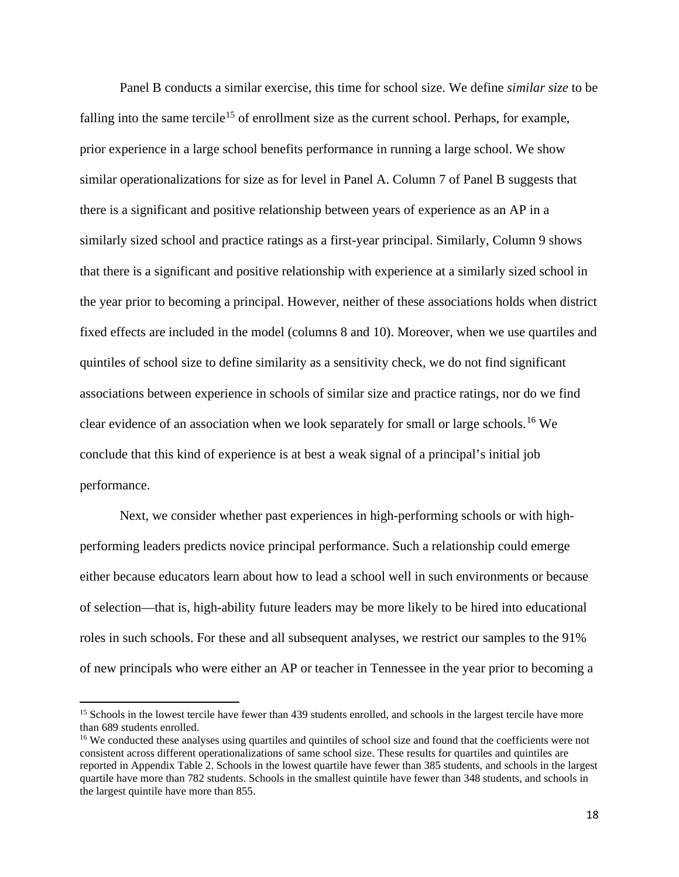Panel B conducts a similar exercise, this time for school size. We define *similar size* to be falling into the same tercile<sup>[15](#page-18-0)</sup> of enrollment size as the current school. Perhaps, for example, prior experience in a large school benefits performance in running a large school. We show similar operationalizations for size as for level in Panel A. Column 7 of Panel B suggests that there is a significant and positive relationship between years of experience as an AP in a similarly sized school and practice ratings as a first-year principal. Similarly, Column 9 shows that there is a significant and positive relationship with experience at a similarly sized school in the year prior to becoming a principal. However, neither of these associations holds when district fixed effects are included in the model (columns 8 and 10). Moreover, when we use quartiles and quintiles of school size to define similarity as a sensitivity check, we do not find significant associations between experience in schools of similar size and practice ratings, nor do we find clear evidence of an association when we look separately for small or large schools. [16](#page-18-1) We conclude that this kind of experience is at best a weak signal of a principal's initial job performance.

Next, we consider whether past experiences in high-performing schools or with highperforming leaders predicts novice principal performance. Such a relationship could emerge either because educators learn about how to lead a school well in such environments or because of selection—that is, high-ability future leaders may be more likely to be hired into educational roles in such schools. For these and all subsequent analyses, we restrict our samples to the 91% of new principals who were either an AP or teacher in Tennessee in the year prior to becoming a

<span id="page-18-0"></span><sup>&</sup>lt;sup>15</sup> Schools in the lowest tercile have fewer than 439 students enrolled, and schools in the largest tercile have more than 689 students enrolled.

<span id="page-18-1"></span><sup>&</sup>lt;sup>16</sup> We conducted these analyses using quartiles and quintiles of school size and found that the coefficients were not consistent across different operationalizations of same school size. These results for quartiles and quintiles are reported in Appendix Table 2. Schools in the lowest quartile have fewer than 385 students, and schools in the largest quartile have more than 782 students. Schools in the smallest quintile have fewer than 348 students, and schools in the largest quintile have more than 855.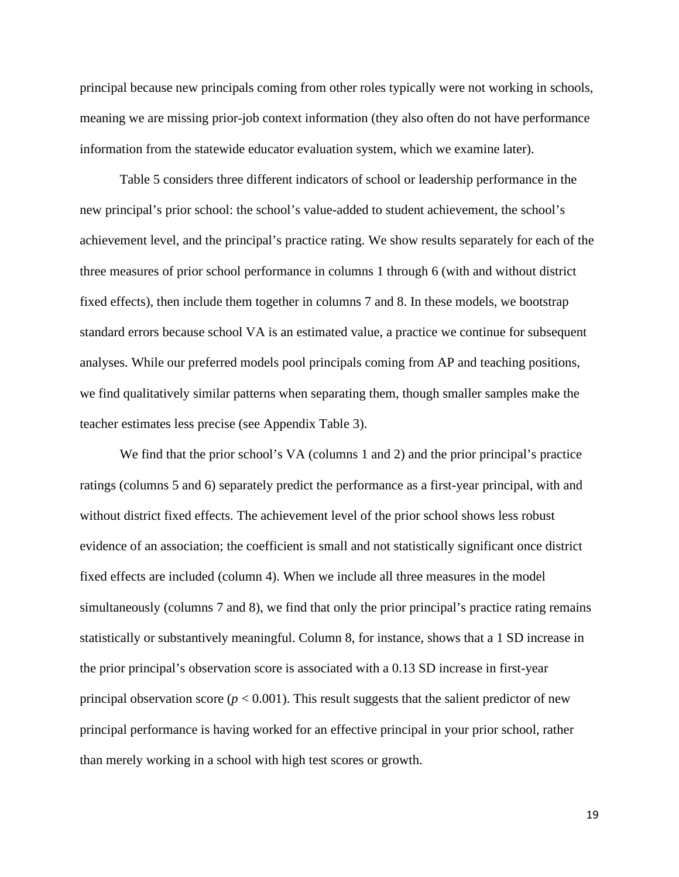principal because new principals coming from other roles typically were not working in schools, meaning we are missing prior-job context information (they also often do not have performance information from the statewide educator evaluation system, which we examine later).

Table 5 considers three different indicators of school or leadership performance in the new principal's prior school: the school's value-added to student achievement, the school's achievement level, and the principal's practice rating. We show results separately for each of the three measures of prior school performance in columns 1 through 6 (with and without district fixed effects), then include them together in columns 7 and 8. In these models, we bootstrap standard errors because school VA is an estimated value, a practice we continue for subsequent analyses. While our preferred models pool principals coming from AP and teaching positions, we find qualitatively similar patterns when separating them, though smaller samples make the teacher estimates less precise (see Appendix Table 3).

We find that the prior school's VA (columns 1 and 2) and the prior principal's practice ratings (columns 5 and 6) separately predict the performance as a first-year principal, with and without district fixed effects. The achievement level of the prior school shows less robust evidence of an association; the coefficient is small and not statistically significant once district fixed effects are included (column 4). When we include all three measures in the model simultaneously (columns 7 and 8), we find that only the prior principal's practice rating remains statistically or substantively meaningful. Column 8, for instance, shows that a 1 SD increase in the prior principal's observation score is associated with a 0.13 SD increase in first-year principal observation score  $(p < 0.001)$ . This result suggests that the salient predictor of new principal performance is having worked for an effective principal in your prior school, rather than merely working in a school with high test scores or growth.

19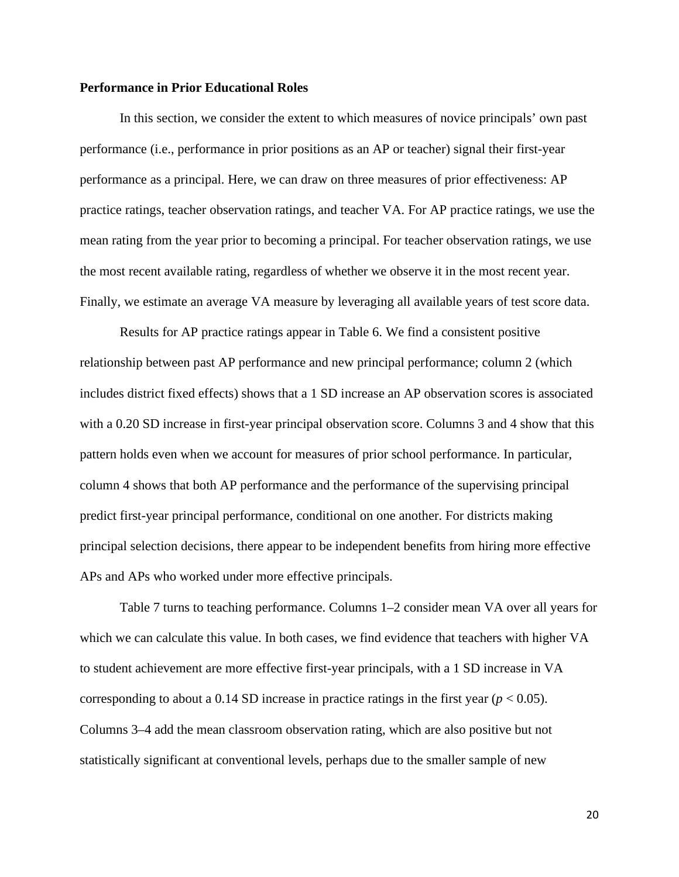# **Performance in Prior Educational Roles**

In this section, we consider the extent to which measures of novice principals' own past performance (i.e., performance in prior positions as an AP or teacher) signal their first-year performance as a principal. Here, we can draw on three measures of prior effectiveness: AP practice ratings, teacher observation ratings, and teacher VA. For AP practice ratings, we use the mean rating from the year prior to becoming a principal. For teacher observation ratings, we use the most recent available rating, regardless of whether we observe it in the most recent year. Finally, we estimate an average VA measure by leveraging all available years of test score data.

Results for AP practice ratings appear in Table 6. We find a consistent positive relationship between past AP performance and new principal performance; column 2 (which includes district fixed effects) shows that a 1 SD increase an AP observation scores is associated with a 0.20 SD increase in first-year principal observation score. Columns 3 and 4 show that this pattern holds even when we account for measures of prior school performance. In particular, column 4 shows that both AP performance and the performance of the supervising principal predict first-year principal performance, conditional on one another. For districts making principal selection decisions, there appear to be independent benefits from hiring more effective APs and APs who worked under more effective principals.

Table 7 turns to teaching performance. Columns 1–2 consider mean VA over all years for which we can calculate this value. In both cases, we find evidence that teachers with higher VA to student achievement are more effective first-year principals, with a 1 SD increase in VA corresponding to about a 0.14 SD increase in practice ratings in the first year  $(p < 0.05)$ . Columns 3–4 add the mean classroom observation rating, which are also positive but not statistically significant at conventional levels, perhaps due to the smaller sample of new

20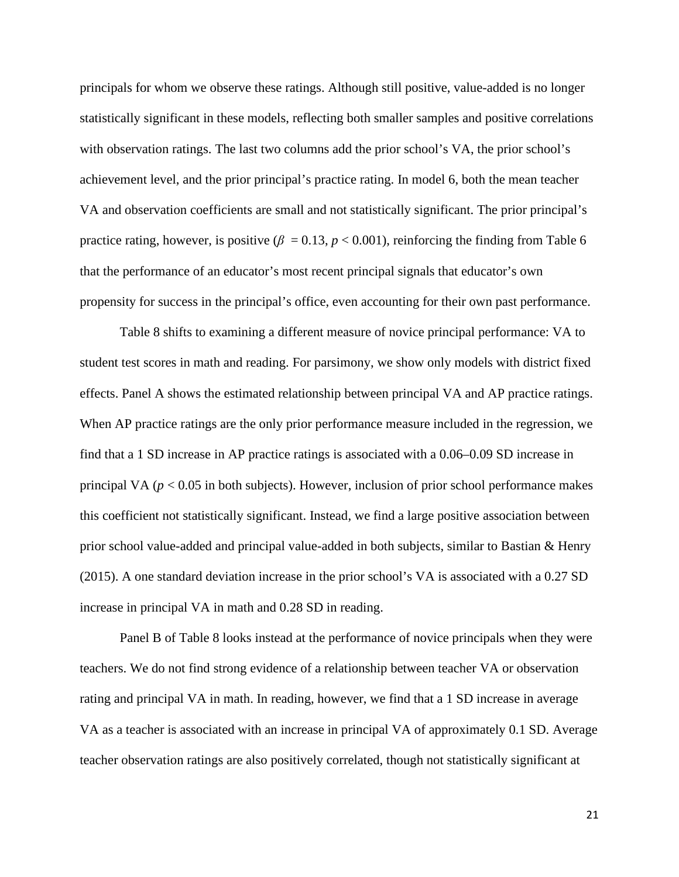principals for whom we observe these ratings. Although still positive, value-added is no longer statistically significant in these models, reflecting both smaller samples and positive correlations with observation ratings. The last two columns add the prior school's VA, the prior school's achievement level, and the prior principal's practice rating. In model 6, both the mean teacher VA and observation coefficients are small and not statistically significant. The prior principal's practice rating, however, is positive ( $\beta = 0.13$ ,  $p < 0.001$ ), reinforcing the finding from Table 6 that the performance of an educator's most recent principal signals that educator's own propensity for success in the principal's office, even accounting for their own past performance.

Table 8 shifts to examining a different measure of novice principal performance: VA to student test scores in math and reading. For parsimony, we show only models with district fixed effects. Panel A shows the estimated relationship between principal VA and AP practice ratings. When AP practice ratings are the only prior performance measure included in the regression, we find that a 1 SD increase in AP practice ratings is associated with a 0.06–0.09 SD increase in principal VA (*p* < 0.05 in both subjects). However, inclusion of prior school performance makes this coefficient not statistically significant. Instead, we find a large positive association between prior school value-added and principal value-added in both subjects, similar to Bastian & Henry (2015). A one standard deviation increase in the prior school's VA is associated with a 0.27 SD increase in principal VA in math and 0.28 SD in reading.

Panel B of Table 8 looks instead at the performance of novice principals when they were teachers. We do not find strong evidence of a relationship between teacher VA or observation rating and principal VA in math. In reading, however, we find that a 1 SD increase in average VA as a teacher is associated with an increase in principal VA of approximately 0.1 SD. Average teacher observation ratings are also positively correlated, though not statistically significant at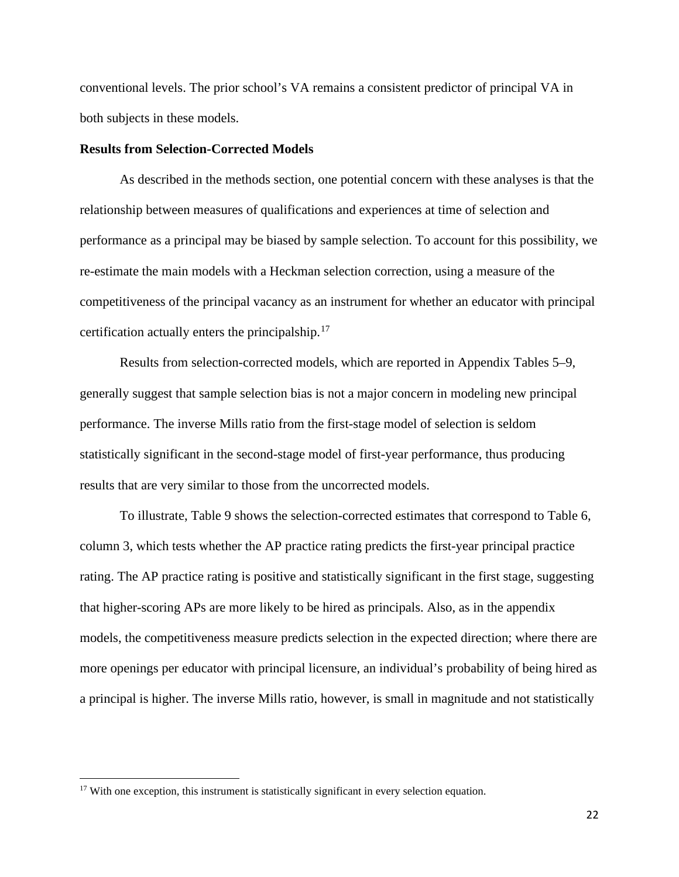conventional levels. The prior school's VA remains a consistent predictor of principal VA in both subjects in these models.

# **Results from Selection-Corrected Models**

As described in the methods section, one potential concern with these analyses is that the relationship between measures of qualifications and experiences at time of selection and performance as a principal may be biased by sample selection. To account for this possibility, we re-estimate the main models with a Heckman selection correction, using a measure of the competitiveness of the principal vacancy as an instrument for whether an educator with principal certification actually enters the principalship.<sup>[17](#page-22-0)</sup>

Results from selection-corrected models, which are reported in Appendix Tables 5–9, generally suggest that sample selection bias is not a major concern in modeling new principal performance. The inverse Mills ratio from the first-stage model of selection is seldom statistically significant in the second-stage model of first-year performance, thus producing results that are very similar to those from the uncorrected models.

To illustrate, Table 9 shows the selection-corrected estimates that correspond to Table 6, column 3, which tests whether the AP practice rating predicts the first-year principal practice rating. The AP practice rating is positive and statistically significant in the first stage, suggesting that higher-scoring APs are more likely to be hired as principals. Also, as in the appendix models, the competitiveness measure predicts selection in the expected direction; where there are more openings per educator with principal licensure, an individual's probability of being hired as a principal is higher. The inverse Mills ratio, however, is small in magnitude and not statistically

<span id="page-22-0"></span><sup>&</sup>lt;sup>17</sup> With one exception, this instrument is statistically significant in every selection equation.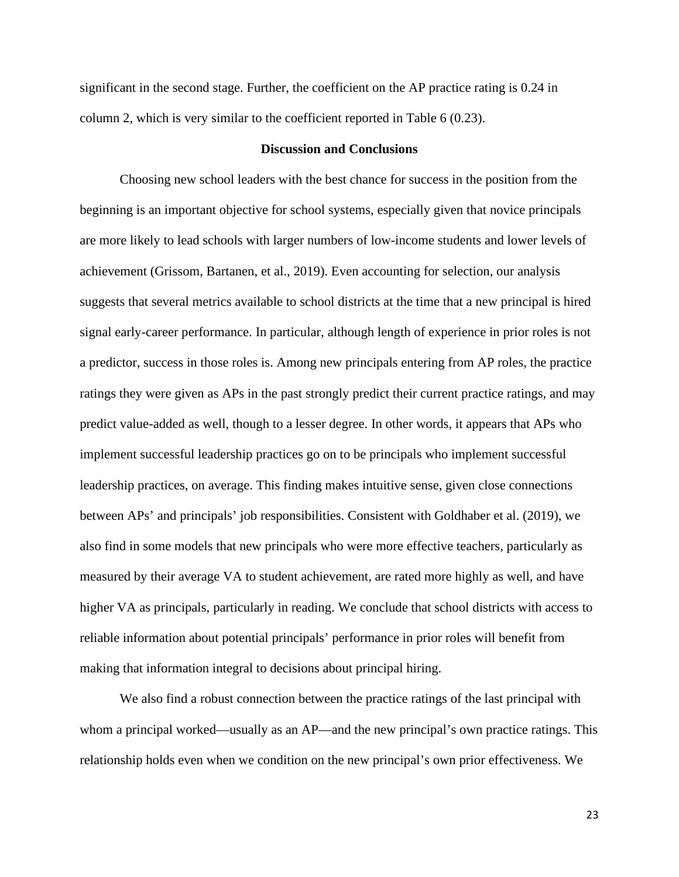significant in the second stage. Further, the coefficient on the AP practice rating is 0.24 in column 2, which is very similar to the coefficient reported in Table 6 (0.23).

# **Discussion and Conclusions**

Choosing new school leaders with the best chance for success in the position from the beginning is an important objective for school systems, especially given that novice principals are more likely to lead schools with larger numbers of low-income students and lower levels of achievement (Grissom, Bartanen, et al., 2019). Even accounting for selection, our analysis suggests that several metrics available to school districts at the time that a new principal is hired signal early-career performance. In particular, although length of experience in prior roles is not a predictor, success in those roles is. Among new principals entering from AP roles, the practice ratings they were given as APs in the past strongly predict their current practice ratings, and may predict value-added as well, though to a lesser degree. In other words, it appears that APs who implement successful leadership practices go on to be principals who implement successful leadership practices, on average. This finding makes intuitive sense, given close connections between APs' and principals' job responsibilities. Consistent with Goldhaber et al. (2019), we also find in some models that new principals who were more effective teachers, particularly as measured by their average VA to student achievement, are rated more highly as well, and have higher VA as principals, particularly in reading. We conclude that school districts with access to reliable information about potential principals' performance in prior roles will benefit from making that information integral to decisions about principal hiring.

We also find a robust connection between the practice ratings of the last principal with whom a principal worked—usually as an AP—and the new principal's own practice ratings. This relationship holds even when we condition on the new principal's own prior effectiveness. We

23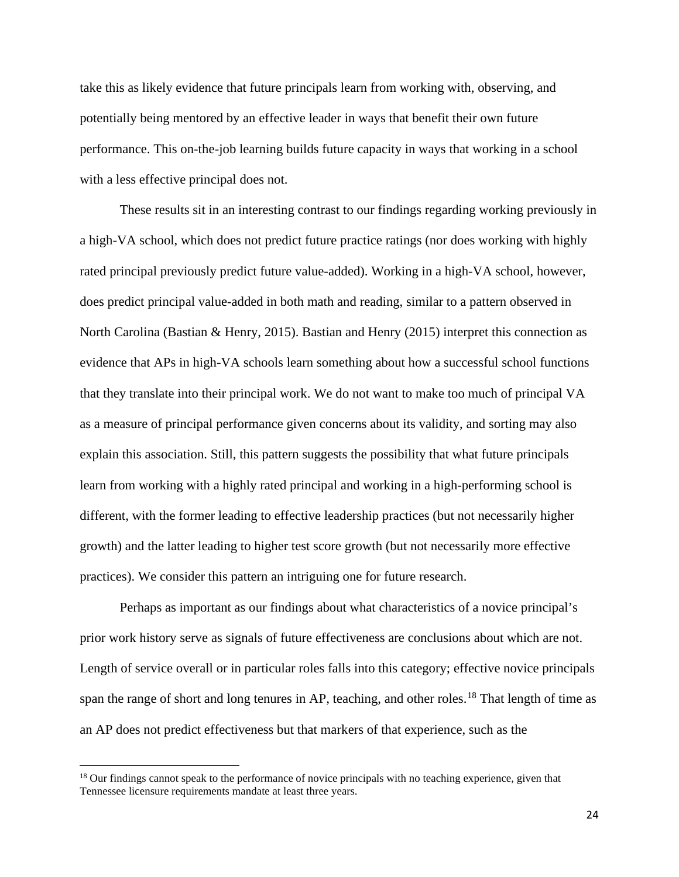take this as likely evidence that future principals learn from working with, observing, and potentially being mentored by an effective leader in ways that benefit their own future performance. This on-the-job learning builds future capacity in ways that working in a school with a less effective principal does not.

These results sit in an interesting contrast to our findings regarding working previously in a high-VA school, which does not predict future practice ratings (nor does working with highly rated principal previously predict future value-added). Working in a high-VA school, however, does predict principal value-added in both math and reading, similar to a pattern observed in North Carolina (Bastian & Henry, 2015). Bastian and Henry (2015) interpret this connection as evidence that APs in high-VA schools learn something about how a successful school functions that they translate into their principal work. We do not want to make too much of principal VA as a measure of principal performance given concerns about its validity, and sorting may also explain this association. Still, this pattern suggests the possibility that what future principals learn from working with a highly rated principal and working in a high-performing school is different, with the former leading to effective leadership practices (but not necessarily higher growth) and the latter leading to higher test score growth (but not necessarily more effective practices). We consider this pattern an intriguing one for future research.

Perhaps as important as our findings about what characteristics of a novice principal's prior work history serve as signals of future effectiveness are conclusions about which are not. Length of service overall or in particular roles falls into this category; effective novice principals span the range of short and long tenures in AP, teaching, and other roles.<sup>[18](#page-24-0)</sup> That length of time as an AP does not predict effectiveness but that markers of that experience, such as the

<span id="page-24-0"></span><sup>&</sup>lt;sup>18</sup> Our findings cannot speak to the performance of novice principals with no teaching experience, given that Tennessee licensure requirements mandate at least three years.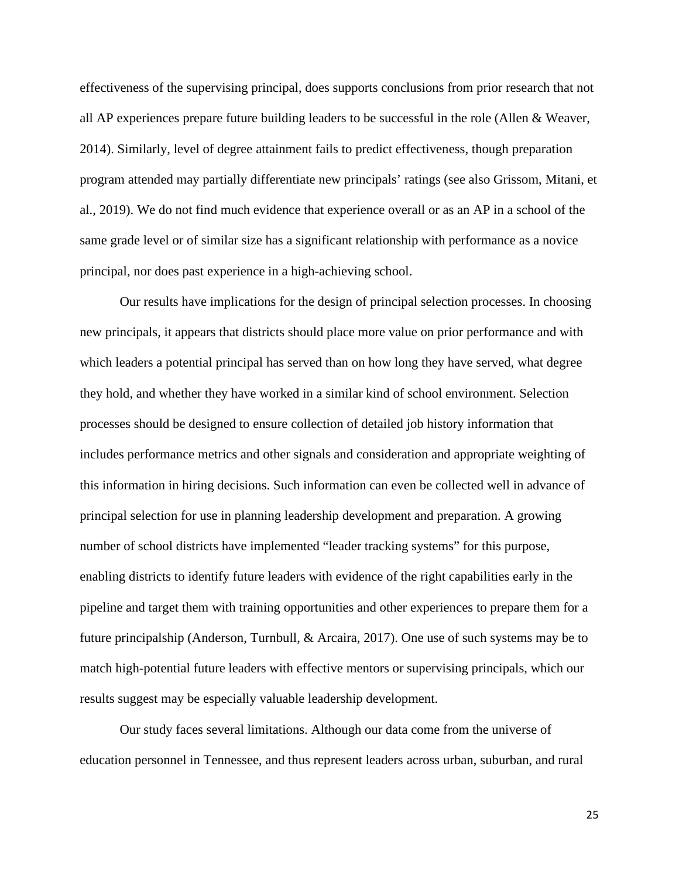effectiveness of the supervising principal, does supports conclusions from prior research that not all AP experiences prepare future building leaders to be successful in the role (Allen & Weaver, 2014). Similarly, level of degree attainment fails to predict effectiveness, though preparation program attended may partially differentiate new principals' ratings (see also Grissom, Mitani, et al., 2019). We do not find much evidence that experience overall or as an AP in a school of the same grade level or of similar size has a significant relationship with performance as a novice principal, nor does past experience in a high-achieving school.

Our results have implications for the design of principal selection processes. In choosing new principals, it appears that districts should place more value on prior performance and with which leaders a potential principal has served than on how long they have served, what degree they hold, and whether they have worked in a similar kind of school environment. Selection processes should be designed to ensure collection of detailed job history information that includes performance metrics and other signals and consideration and appropriate weighting of this information in hiring decisions. Such information can even be collected well in advance of principal selection for use in planning leadership development and preparation. A growing number of school districts have implemented "leader tracking systems" for this purpose, enabling districts to identify future leaders with evidence of the right capabilities early in the pipeline and target them with training opportunities and other experiences to prepare them for a future principalship (Anderson, Turnbull, & Arcaira, 2017). One use of such systems may be to match high-potential future leaders with effective mentors or supervising principals, which our results suggest may be especially valuable leadership development.

Our study faces several limitations. Although our data come from the universe of education personnel in Tennessee, and thus represent leaders across urban, suburban, and rural

25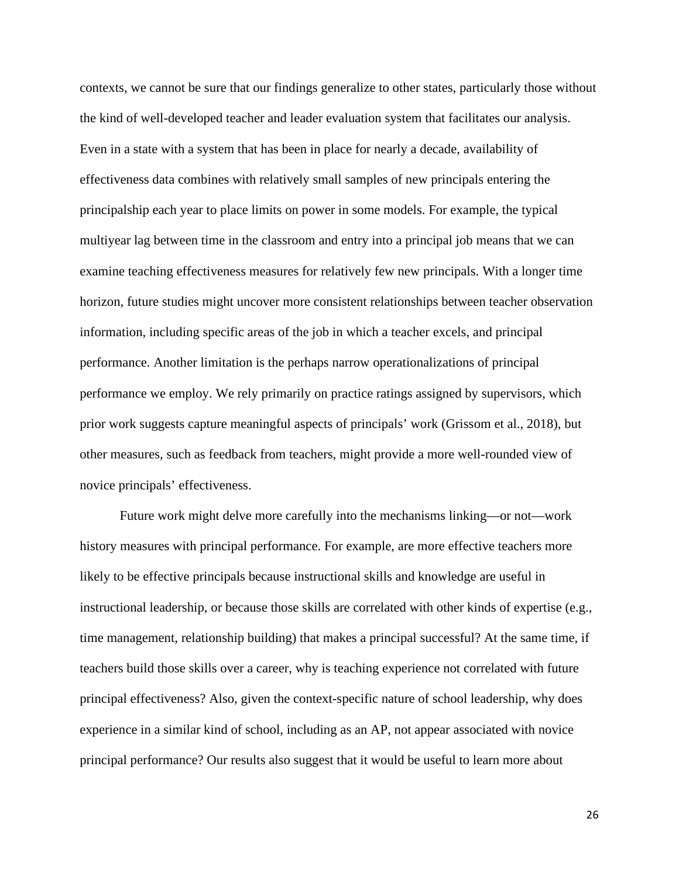contexts, we cannot be sure that our findings generalize to other states, particularly those without the kind of well-developed teacher and leader evaluation system that facilitates our analysis. Even in a state with a system that has been in place for nearly a decade, availability of effectiveness data combines with relatively small samples of new principals entering the principalship each year to place limits on power in some models. For example, the typical multiyear lag between time in the classroom and entry into a principal job means that we can examine teaching effectiveness measures for relatively few new principals. With a longer time horizon, future studies might uncover more consistent relationships between teacher observation information, including specific areas of the job in which a teacher excels, and principal performance. Another limitation is the perhaps narrow operationalizations of principal performance we employ. We rely primarily on practice ratings assigned by supervisors, which prior work suggests capture meaningful aspects of principals' work (Grissom et al., 2018), but other measures, such as feedback from teachers, might provide a more well-rounded view of novice principals' effectiveness.

Future work might delve more carefully into the mechanisms linking—or not—work history measures with principal performance. For example, are more effective teachers more likely to be effective principals because instructional skills and knowledge are useful in instructional leadership, or because those skills are correlated with other kinds of expertise (e.g., time management, relationship building) that makes a principal successful? At the same time, if teachers build those skills over a career, why is teaching experience not correlated with future principal effectiveness? Also, given the context-specific nature of school leadership, why does experience in a similar kind of school, including as an AP, not appear associated with novice principal performance? Our results also suggest that it would be useful to learn more about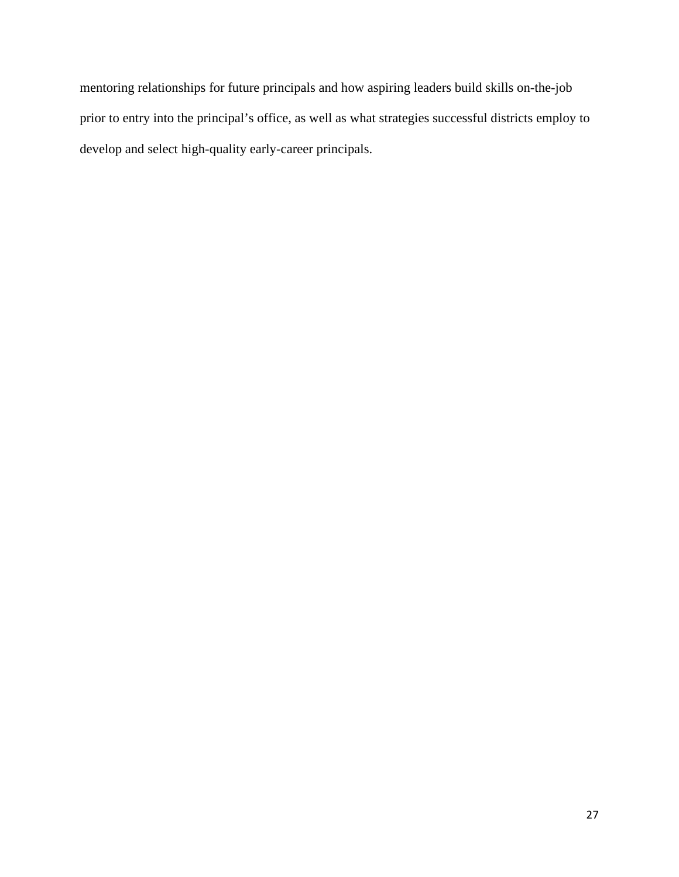mentoring relationships for future principals and how aspiring leaders build skills on-the-job prior to entry into the principal's office, as well as what strategies successful districts employ to develop and select high-quality early-career principals.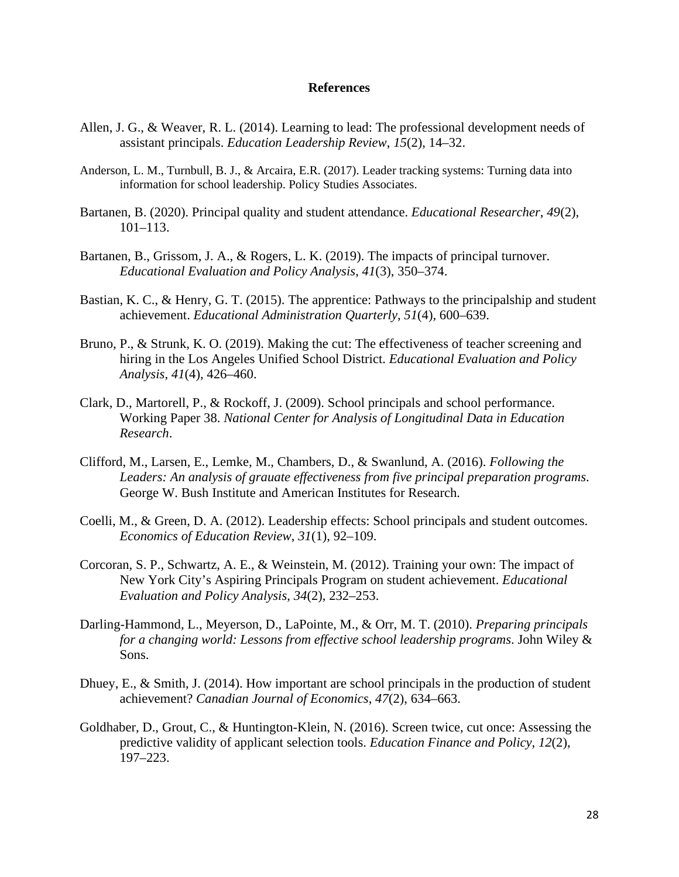# **References**

- Allen, J. G., & Weaver, R. L. (2014). Learning to lead: The professional development needs of assistant principals. *Education Leadership Review*, *15*(2), 14–32.
- Anderson, L. M., Turnbull, B. J., & Arcaira, E.R. (2017). Leader tracking systems: Turning data into information for school leadership. Policy Studies Associates.
- Bartanen, B. (2020). Principal quality and student attendance. *Educational Researcher*, *49*(2), 101–113.
- Bartanen, B., Grissom, J. A., & Rogers, L. K. (2019). The impacts of principal turnover. *Educational Evaluation and Policy Analysis*, *41*(3), 350–374.
- Bastian, K. C., & Henry, G. T. (2015). The apprentice: Pathways to the principalship and student achievement. *Educational Administration Quarterly*, *51*(4), 600–639.
- Bruno, P., & Strunk, K. O. (2019). Making the cut: The effectiveness of teacher screening and hiring in the Los Angeles Unified School District. *Educational Evaluation and Policy Analysis*, *41*(4), 426–460.
- Clark, D., Martorell, P., & Rockoff, J. (2009). School principals and school performance. Working Paper 38. *National Center for Analysis of Longitudinal Data in Education Research*.
- Clifford, M., Larsen, E., Lemke, M., Chambers, D., & Swanlund, A. (2016). *Following the Leaders: An analysis of grauate effectiveness from five principal preparation programs*. George W. Bush Institute and American Institutes for Research.
- Coelli, M., & Green, D. A. (2012). Leadership effects: School principals and student outcomes. *Economics of Education Review*, *31*(1), 92–109.
- Corcoran, S. P., Schwartz, A. E., & Weinstein, M. (2012). Training your own: The impact of New York City's Aspiring Principals Program on student achievement. *Educational Evaluation and Policy Analysis*, *34*(2), 232–253.
- Darling-Hammond, L., Meyerson, D., LaPointe, M., & Orr, M. T. (2010). *Preparing principals for a changing world: Lessons from effective school leadership programs*. John Wiley & Sons.
- Dhuey, E., & Smith, J. (2014). How important are school principals in the production of student achievement? *Canadian Journal of Economics*, *47*(2), 634–663.
- Goldhaber, D., Grout, C., & Huntington-Klein, N. (2016). Screen twice, cut once: Assessing the predictive validity of applicant selection tools. *Education Finance and Policy*, *12*(2), 197–223.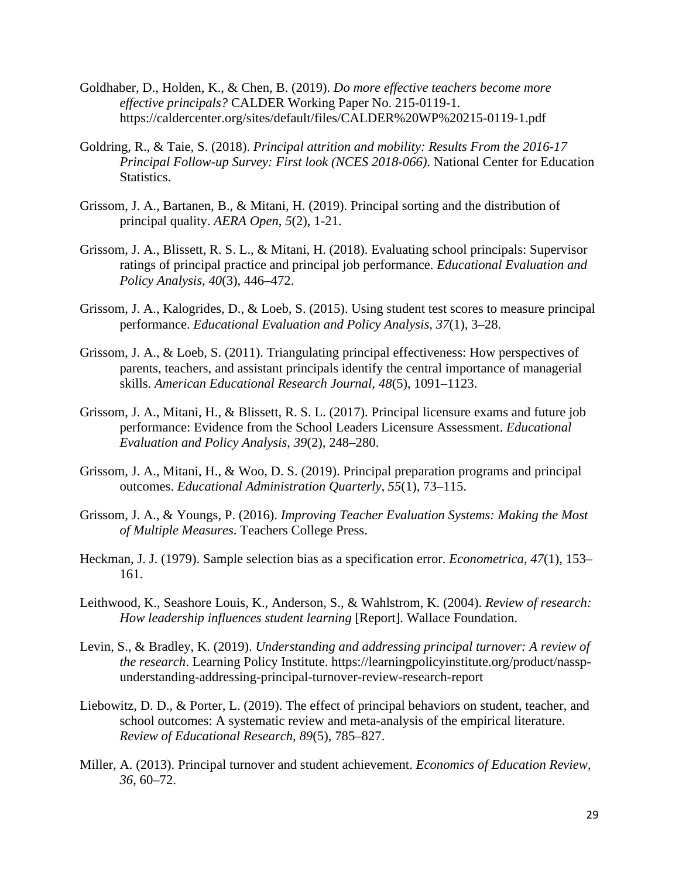- Goldhaber, D., Holden, K., & Chen, B. (2019). *Do more effective teachers become more effective principals?* CALDER Working Paper No. 215-0119-1. https://caldercenter.org/sites/default/files/CALDER%20WP%20215-0119-1.pdf
- Goldring, R., & Taie, S. (2018). *Principal attrition and mobility: Results From the 2016-17 Principal Follow-up Survey: First look (NCES 2018-066)*. National Center for Education Statistics.
- Grissom, J. A., Bartanen, B., & Mitani, H. (2019). Principal sorting and the distribution of principal quality. *AERA Open*, *5*(2), 1-21.
- Grissom, J. A., Blissett, R. S. L., & Mitani, H. (2018). Evaluating school principals: Supervisor ratings of principal practice and principal job performance. *Educational Evaluation and Policy Analysis*, *40*(3), 446–472.
- Grissom, J. A., Kalogrides, D., & Loeb, S. (2015). Using student test scores to measure principal performance. *Educational Evaluation and Policy Analysis*, *37*(1), 3–28.
- Grissom, J. A., & Loeb, S. (2011). Triangulating principal effectiveness: How perspectives of parents, teachers, and assistant principals identify the central importance of managerial skills. *American Educational Research Journal*, *48*(5), 1091–1123.
- Grissom, J. A., Mitani, H., & Blissett, R. S. L. (2017). Principal licensure exams and future job performance: Evidence from the School Leaders Licensure Assessment. *Educational Evaluation and Policy Analysis*, *39*(2), 248–280.
- Grissom, J. A., Mitani, H., & Woo, D. S. (2019). Principal preparation programs and principal outcomes. *Educational Administration Quarterly*, *55*(1), 73–115.
- Grissom, J. A., & Youngs, P. (2016). *Improving Teacher Evaluation Systems: Making the Most of Multiple Measures*. Teachers College Press.
- Heckman, J. J. (1979). Sample selection bias as a specification error. *Econometrica*, *47*(1), 153– 161.
- Leithwood, K., Seashore Louis, K., Anderson, S., & Wahlstrom, K. (2004). *Review of research: How leadership influences student learning* [Report]. Wallace Foundation.
- Levin, S., & Bradley, K. (2019). *Understanding and addressing principal turnover: A review of the research*. Learning Policy Institute. https://learningpolicyinstitute.org/product/nasspunderstanding-addressing-principal-turnover-review-research-report
- Liebowitz, D. D., & Porter, L. (2019). The effect of principal behaviors on student, teacher, and school outcomes: A systematic review and meta-analysis of the empirical literature. *Review of Educational Research*, *89*(5), 785–827.
- Miller, A. (2013). Principal turnover and student achievement. *Economics of Education Review*, *36*, 60–72.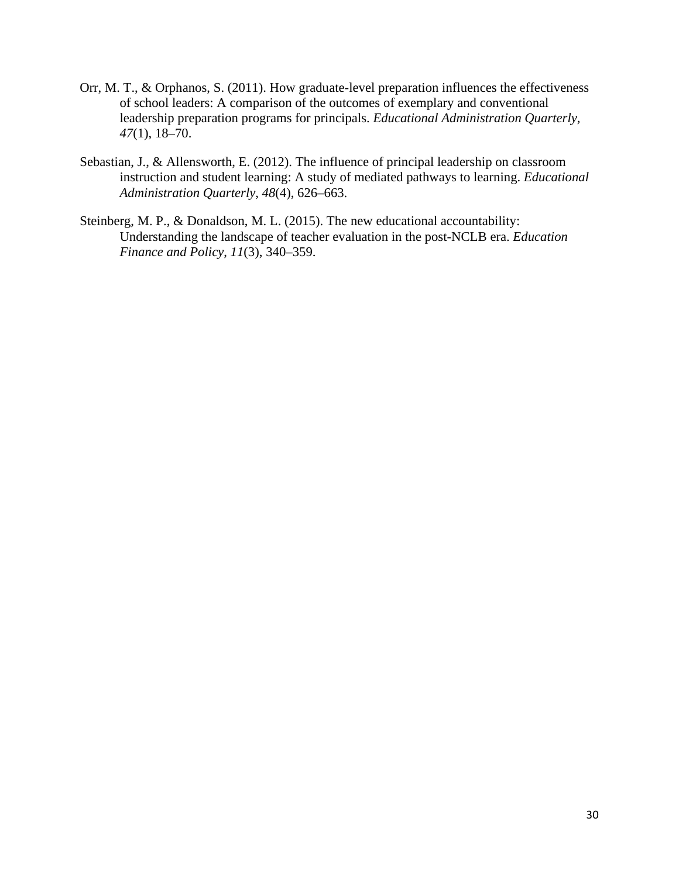- Orr, M. T., & Orphanos, S. (2011). How graduate-level preparation influences the effectiveness of school leaders: A comparison of the outcomes of exemplary and conventional leadership preparation programs for principals. *Educational Administration Quarterly*, *47*(1), 18–70.
- Sebastian, J., & Allensworth, E. (2012). The influence of principal leadership on classroom instruction and student learning: A study of mediated pathways to learning. *Educational Administration Quarterly*, *48*(4), 626–663.
- Steinberg, M. P., & Donaldson, M. L. (2015). The new educational accountability: Understanding the landscape of teacher evaluation in the post-NCLB era. *Education Finance and Policy*, *11*(3), 340–359.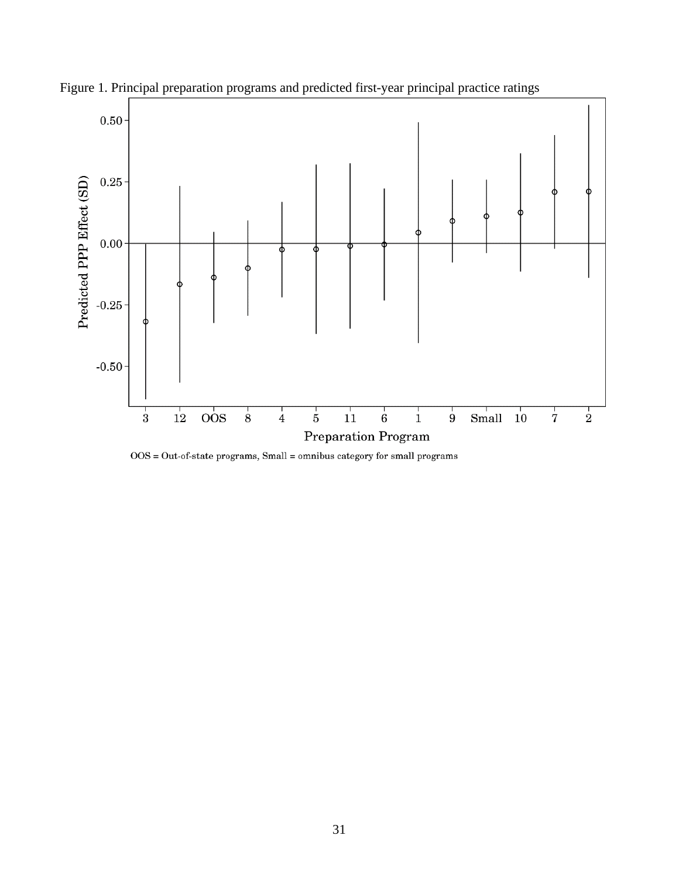

Figure 1. Principal preparation programs and predicted first-year principal practice ratings

 $\mathrm{OOS} = \mathrm{Out\text{-}of\text{-}state}$  programs, Small = omnibus category for small programs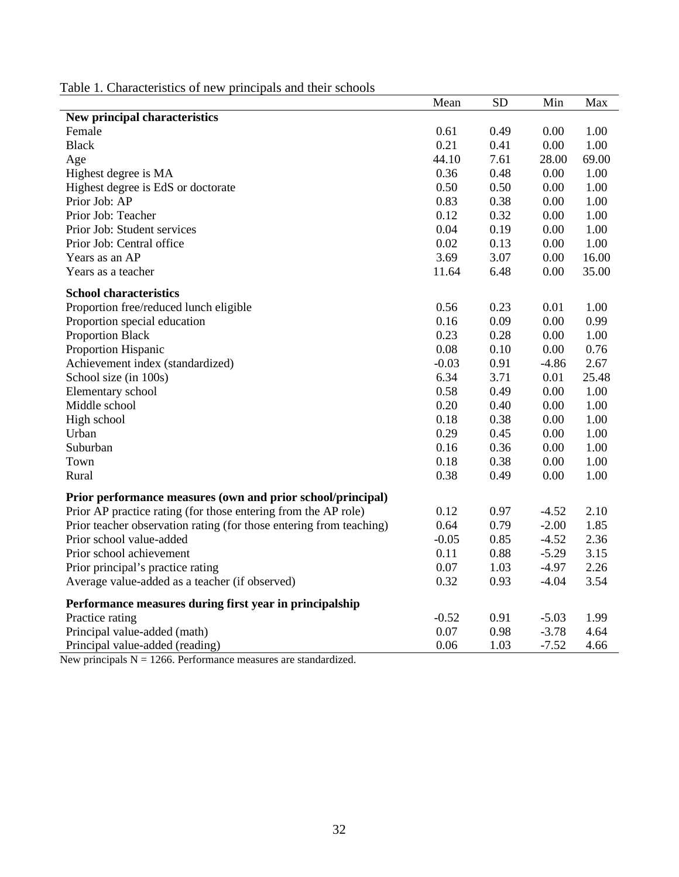Table 1. Characteristics of new principals and their schools

|                                                                     | Mean    | <b>SD</b> | Min     | Max   |
|---------------------------------------------------------------------|---------|-----------|---------|-------|
| New principal characteristics                                       |         |           |         |       |
| Female                                                              | 0.61    | 0.49      | 0.00    | 1.00  |
| <b>Black</b>                                                        | 0.21    | 0.41      | 0.00    | 1.00  |
| Age                                                                 | 44.10   | 7.61      | 28.00   | 69.00 |
| Highest degree is MA                                                | 0.36    | 0.48      | 0.00    | 1.00  |
| Highest degree is EdS or doctorate                                  | 0.50    | 0.50      | 0.00    | 1.00  |
| Prior Job: AP                                                       | 0.83    | 0.38      | 0.00    | 1.00  |
| Prior Job: Teacher                                                  | 0.12    | 0.32      | 0.00    | 1.00  |
| Prior Job: Student services                                         | 0.04    | 0.19      | 0.00    | 1.00  |
| Prior Job: Central office                                           | 0.02    | 0.13      | 0.00    | 1.00  |
| Years as an AP                                                      | 3.69    | 3.07      | 0.00    | 16.00 |
| Years as a teacher                                                  | 11.64   | 6.48      | 0.00    | 35.00 |
| <b>School characteristics</b>                                       |         |           |         |       |
| Proportion free/reduced lunch eligible                              | 0.56    | 0.23      | 0.01    | 1.00  |
| Proportion special education                                        | 0.16    | 0.09      | 0.00    | 0.99  |
| <b>Proportion Black</b>                                             | 0.23    | 0.28      | 0.00    | 1.00  |
| Proportion Hispanic                                                 | 0.08    | 0.10      | 0.00    | 0.76  |
| Achievement index (standardized)                                    | $-0.03$ | 0.91      | $-4.86$ | 2.67  |
| School size (in 100s)                                               | 6.34    | 3.71      | 0.01    | 25.48 |
| Elementary school                                                   | 0.58    | 0.49      | 0.00    | 1.00  |
| Middle school                                                       | 0.20    | 0.40      | 0.00    | 1.00  |
| High school                                                         | 0.18    | 0.38      | 0.00    | 1.00  |
| Urban                                                               | 0.29    | 0.45      | 0.00    | 1.00  |
| Suburban                                                            | 0.16    | 0.36      | 0.00    | 1.00  |
| Town                                                                | 0.18    | 0.38      | 0.00    | 1.00  |
| Rural                                                               | 0.38    | 0.49      | 0.00    | 1.00  |
| Prior performance measures (own and prior school/principal)         |         |           |         |       |
| Prior AP practice rating (for those entering from the AP role)      | 0.12    | 0.97      | $-4.52$ | 2.10  |
| Prior teacher observation rating (for those entering from teaching) | 0.64    | 0.79      | $-2.00$ | 1.85  |
| Prior school value-added                                            | $-0.05$ | 0.85      | $-4.52$ | 2.36  |
| Prior school achievement                                            | 0.11    | 0.88      | $-5.29$ | 3.15  |
| Prior principal's practice rating                                   | 0.07    | 1.03      | $-4.97$ | 2.26  |
| Average value-added as a teacher (if observed)                      | 0.32    | 0.93      | $-4.04$ | 3.54  |
| Performance measures during first year in principalship             |         |           |         |       |
| Practice rating                                                     | $-0.52$ | 0.91      | $-5.03$ | 1.99  |
| Principal value-added (math)                                        | 0.07    | 0.98      | $-3.78$ | 4.64  |
| Principal value-added (reading)                                     | 0.06    | 1.03      | $-7.52$ | 4.66  |

New principals  $N = 1266$ . Performance measures are standardized.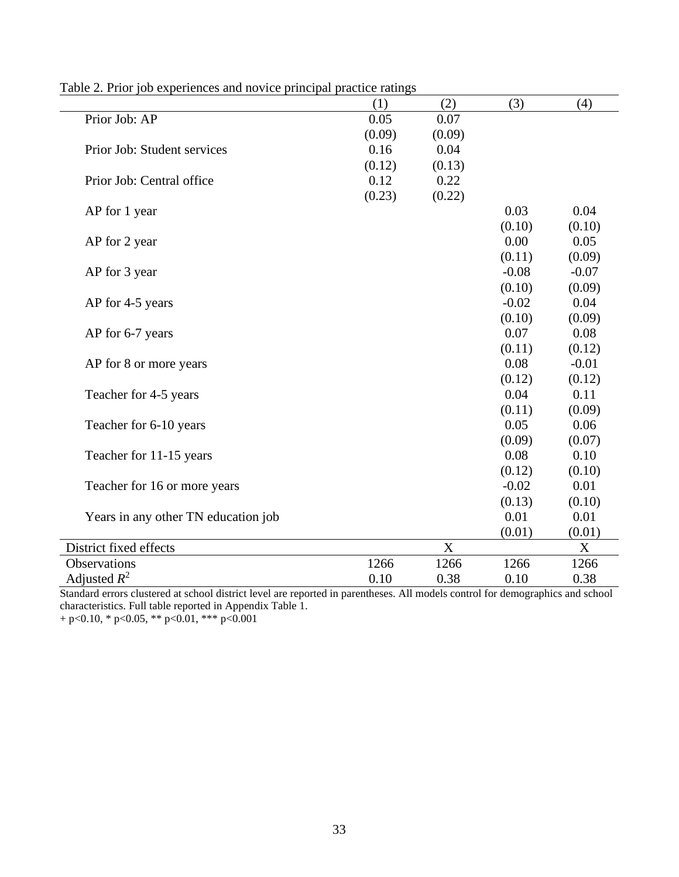|                                     | (1)    | (2)         | (3)     | (4)     |
|-------------------------------------|--------|-------------|---------|---------|
| Prior Job: AP                       | 0.05   | 0.07        |         |         |
|                                     | (0.09) | (0.09)      |         |         |
| Prior Job: Student services         | 0.16   | 0.04        |         |         |
|                                     | (0.12) | (0.13)      |         |         |
| Prior Job: Central office           | 0.12   | 0.22        |         |         |
|                                     | (0.23) | (0.22)      |         |         |
| AP for 1 year                       |        |             | 0.03    | 0.04    |
|                                     |        |             | (0.10)  | (0.10)  |
| AP for 2 year                       |        |             | 0.00    | 0.05    |
|                                     |        |             | (0.11)  | (0.09)  |
| AP for 3 year                       |        |             | $-0.08$ | $-0.07$ |
|                                     |        |             | (0.10)  | (0.09)  |
| AP for 4-5 years                    |        |             | $-0.02$ | 0.04    |
|                                     |        |             | (0.10)  | (0.09)  |
| AP for 6-7 years                    |        |             | 0.07    | 0.08    |
|                                     |        |             | (0.11)  | (0.12)  |
| AP for 8 or more years              |        |             | 0.08    | $-0.01$ |
|                                     |        |             | (0.12)  | (0.12)  |
| Teacher for 4-5 years               |        |             | 0.04    | 0.11    |
|                                     |        |             | (0.11)  | (0.09)  |
| Teacher for 6-10 years              |        |             | 0.05    | 0.06    |
|                                     |        |             | (0.09)  | (0.07)  |
| Teacher for 11-15 years             |        |             | 0.08    | 0.10    |
|                                     |        |             | (0.12)  | (0.10)  |
| Teacher for 16 or more years        |        |             | $-0.02$ | 0.01    |
|                                     |        |             | (0.13)  | (0.10)  |
| Years in any other TN education job |        |             | 0.01    | 0.01    |
|                                     |        |             | (0.01)  | (0.01)  |
| District fixed effects              |        | $\mathbf X$ |         | X       |
| Observations                        | 1266   | 1266        | 1266    | 1266    |
| Adjusted $R^2$                      | 0.10   | 0.38        | 0.10    | 0.38    |

Table 2. Prior job experiences and novice principal practice ratings

Standard errors clustered at school district level are reported in parentheses. All models control for demographics and school characteristics. Full table reported in Appendix Table 1.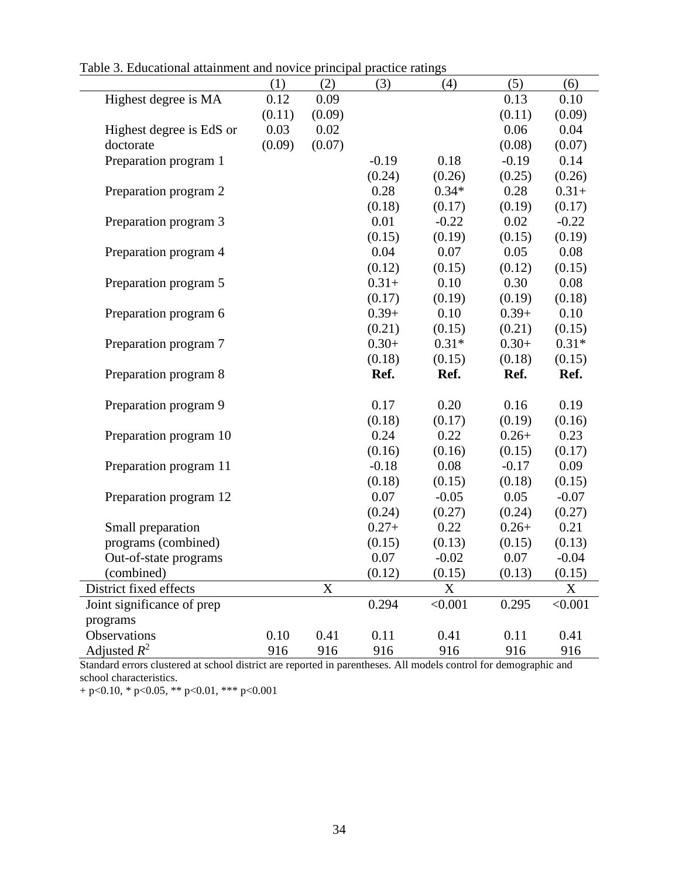| abio 9. Laacanonal anaminchi and novice principal praetice ratings |        |             |         |         |         |         |
|--------------------------------------------------------------------|--------|-------------|---------|---------|---------|---------|
|                                                                    | (1)    | (2)         | (3)     | (4)     | (5)     | (6)     |
| Highest degree is MA                                               | 0.12   | 0.09        |         |         | 0.13    | 0.10    |
|                                                                    | (0.11) | (0.09)      |         |         | (0.11)  | (0.09)  |
| Highest degree is EdS or                                           | 0.03   | 0.02        |         |         | 0.06    | 0.04    |
| doctorate                                                          | (0.09) | (0.07)      |         |         | (0.08)  | (0.07)  |
| Preparation program 1                                              |        |             | $-0.19$ | 0.18    | $-0.19$ | 0.14    |
|                                                                    |        |             | (0.24)  | (0.26)  | (0.25)  | (0.26)  |
| Preparation program 2                                              |        |             | 0.28    | $0.34*$ | 0.28    | $0.31+$ |
|                                                                    |        |             | (0.18)  | (0.17)  | (0.19)  | (0.17)  |
| Preparation program 3                                              |        |             | 0.01    | $-0.22$ | 0.02    | $-0.22$ |
|                                                                    |        |             | (0.15)  | (0.19)  | (0.15)  | (0.19)  |
| Preparation program 4                                              |        |             | 0.04    | 0.07    | 0.05    | 0.08    |
|                                                                    |        |             | (0.12)  | (0.15)  | (0.12)  | (0.15)  |
| Preparation program 5                                              |        |             | $0.31+$ | 0.10    | 0.30    | 0.08    |
|                                                                    |        |             | (0.17)  | (0.19)  | (0.19)  | (0.18)  |
| Preparation program 6                                              |        |             | $0.39+$ | 0.10    | $0.39+$ | 0.10    |
|                                                                    |        |             | (0.21)  | (0.15)  | (0.21)  | (0.15)  |
| Preparation program 7                                              |        |             | $0.30+$ | $0.31*$ | $0.30+$ | $0.31*$ |
|                                                                    |        |             | (0.18)  | (0.15)  | (0.18)  | (0.15)  |
| Preparation program 8                                              |        |             | Ref.    | Ref.    | Ref.    | Ref.    |
|                                                                    |        |             |         |         |         |         |
| Preparation program 9                                              |        |             | 0.17    | 0.20    | 0.16    | 0.19    |
|                                                                    |        |             | (0.18)  | (0.17)  | (0.19)  | (0.16)  |
| Preparation program 10                                             |        |             | 0.24    | 0.22    | $0.26+$ | 0.23    |
|                                                                    |        |             | (0.16)  | (0.16)  | (0.15)  | (0.17)  |
| Preparation program 11                                             |        |             | $-0.18$ | 0.08    | $-0.17$ | 0.09    |
|                                                                    |        |             | (0.18)  | (0.15)  | (0.18)  | (0.15)  |
| Preparation program 12                                             |        |             | 0.07    | $-0.05$ | 0.05    | $-0.07$ |
|                                                                    |        |             | (0.24)  | (0.27)  | (0.24)  | (0.27)  |
| Small preparation                                                  |        |             | $0.27+$ | 0.22    | $0.26+$ | 0.21    |
| programs (combined)                                                |        |             | (0.15)  | (0.13)  | (0.15)  | (0.13)  |
| Out-of-state programs                                              |        |             | 0.07    | $-0.02$ | 0.07    | $-0.04$ |
| (combined)                                                         |        |             | (0.12)  | (0.15)  | (0.13)  | (0.15)  |
| District fixed effects                                             |        | $\mathbf X$ |         | X       |         | X       |
| Joint significance of prep                                         |        |             | 0.294   | < 0.001 | 0.295   | < 0.001 |
| programs                                                           |        |             |         |         |         |         |
| Observations                                                       | 0.10   | 0.41        | 0.11    | 0.41    | 0.11    | 0.41    |
| Adjusted $R^2$                                                     | 916    | 916         | 916     | 916     | 916     | 916     |

Table 3. Educational attainment and novice principal practice ratings

 $\mathbf{r}$ 

Standard errors clustered at school district are reported in parentheses. All models control for demographic and school characteristics.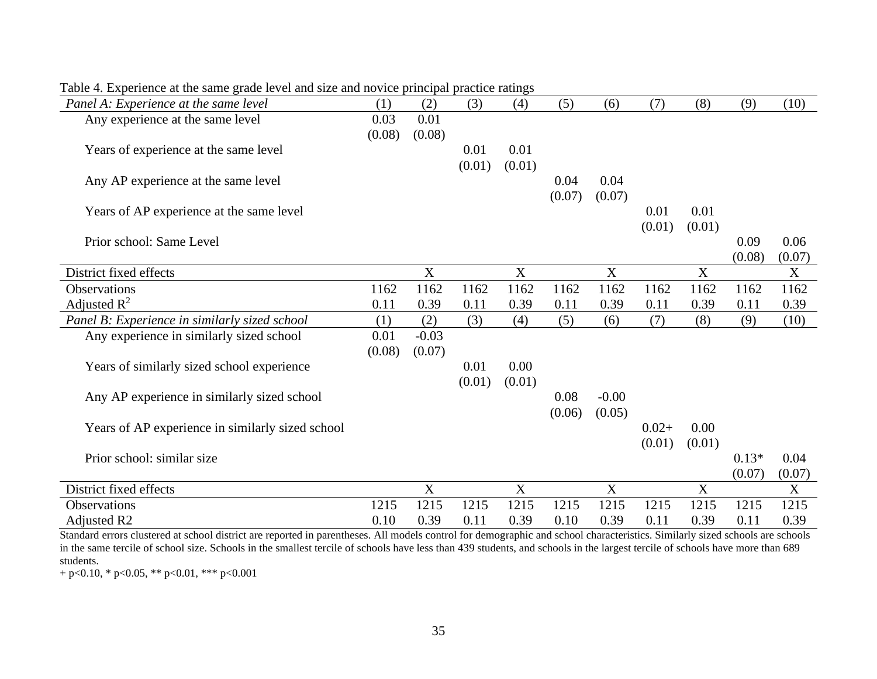| Panel A: Experience at the same level            | (1)    | (2)                       | (3)    | (4)                       | (5)    | (6)                       | (7)     | (8)    | (9)     | (10)   |
|--------------------------------------------------|--------|---------------------------|--------|---------------------------|--------|---------------------------|---------|--------|---------|--------|
| Any experience at the same level                 | 0.03   | 0.01                      |        |                           |        |                           |         |        |         |        |
|                                                  | (0.08) | (0.08)                    |        |                           |        |                           |         |        |         |        |
| Years of experience at the same level            |        |                           | 0.01   | 0.01                      |        |                           |         |        |         |        |
|                                                  |        |                           | (0.01) | (0.01)                    |        |                           |         |        |         |        |
| Any AP experience at the same level              |        |                           |        |                           | 0.04   | 0.04                      |         |        |         |        |
|                                                  |        |                           |        |                           | (0.07) | (0.07)                    |         |        |         |        |
| Years of AP experience at the same level         |        |                           |        |                           |        |                           | 0.01    | 0.01   |         |        |
|                                                  |        |                           |        |                           |        |                           | (0.01)  | (0.01) |         |        |
| Prior school: Same Level                         |        |                           |        |                           |        |                           |         |        | 0.09    | 0.06   |
|                                                  |        |                           |        |                           |        |                           |         |        | (0.08)  | (0.07) |
| District fixed effects                           |        | X                         |        | X                         |        | X                         |         | X      |         | X      |
| Observations                                     | 1162   | 1162                      | 1162   | 1162                      | 1162   | 1162                      | 1162    | 1162   | 1162    | 1162   |
| Adjusted $\mathbb{R}^2$                          | 0.11   | 0.39                      | 0.11   | 0.39                      | 0.11   | 0.39                      | 0.11    | 0.39   | 0.11    | 0.39   |
| Panel B: Experience in similarly sized school    | (1)    | (2)                       | (3)    | (4)                       | (5)    | (6)                       | (7)     | (8)    | (9)     | (10)   |
| Any experience in similarly sized school         | 0.01   | $-0.03$                   |        |                           |        |                           |         |        |         |        |
|                                                  | (0.08) | (0.07)                    |        |                           |        |                           |         |        |         |        |
| Years of similarly sized school experience       |        |                           | 0.01   | 0.00                      |        |                           |         |        |         |        |
|                                                  |        |                           | (0.01) | (0.01)                    |        |                           |         |        |         |        |
| Any AP experience in similarly sized school      |        |                           |        |                           | 0.08   | $-0.00$                   |         |        |         |        |
|                                                  |        |                           |        |                           | (0.06) | (0.05)                    |         |        |         |        |
| Years of AP experience in similarly sized school |        |                           |        |                           |        |                           | $0.02+$ | 0.00   |         |        |
|                                                  |        |                           |        |                           |        |                           | (0.01)  | (0.01) |         |        |
| Prior school: similar size                       |        |                           |        |                           |        |                           |         |        | $0.13*$ | 0.04   |
|                                                  |        |                           |        |                           |        |                           |         |        | (0.07)  | (0.07) |
| District fixed effects                           |        | $\boldsymbol{\mathrm{X}}$ |        | $\boldsymbol{\mathrm{X}}$ |        | $\boldsymbol{\mathrm{X}}$ |         | X      |         | X      |
| <b>Observations</b>                              | 1215   | 1215                      | 1215   | 1215                      | 1215   | 1215                      | 1215    | 1215   | 1215    | 1215   |
| <b>Adjusted R2</b>                               | 0.10   | 0.39                      | 0.11   | 0.39                      | 0.10   | 0.39                      | 0.11    | 0.39   | 0.11    | 0.39   |

Table 4. Experience at the same grade level and size and novice principal practice ratings

Standard errors clustered at school district are reported in parentheses. All models control for demographic and school characteristics. Similarly sized schools are schools in the same tercile of school size. Schools in the smallest tercile of schools have less than 439 students, and schools in the largest tercile of schools have more than 689 students.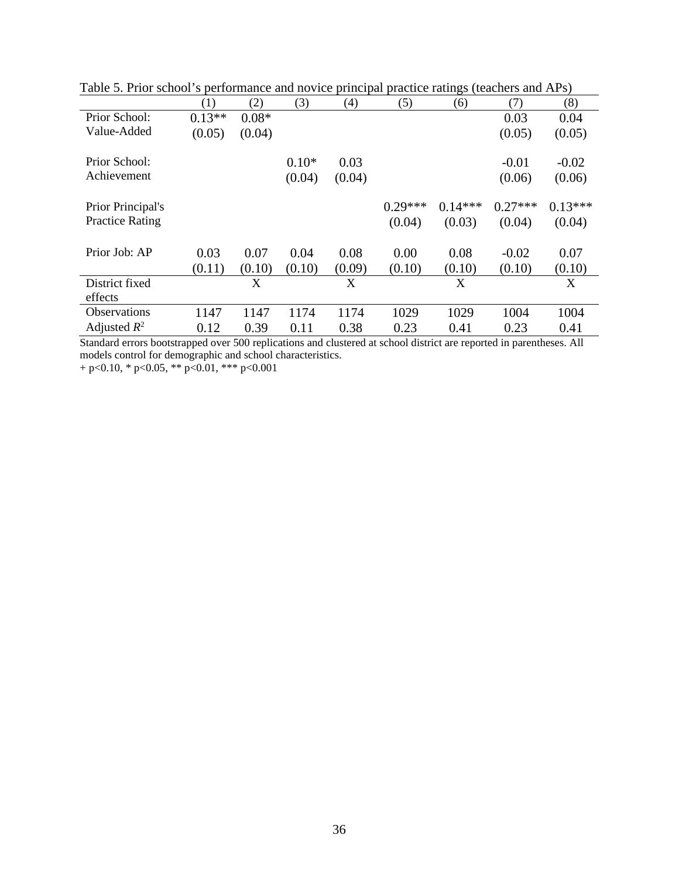|                        | (1)      | (2)     | (3)     | (4)    | (5)       | (6)       | (7)       | (8)       |
|------------------------|----------|---------|---------|--------|-----------|-----------|-----------|-----------|
| Prior School:          | $0.13**$ | $0.08*$ |         |        |           |           | 0.03      | 0.04      |
| Value-Added            | (0.05)   | (0.04)  |         |        |           |           | (0.05)    | (0.05)    |
| Prior School:          |          |         | $0.10*$ | 0.03   |           |           | $-0.01$   | $-0.02$   |
| Achievement            |          |         | (0.04)  | (0.04) |           |           | (0.06)    | (0.06)    |
| Prior Principal's      |          |         |         |        | $0.29***$ | $0.14***$ | $0.27***$ | $0.13***$ |
| <b>Practice Rating</b> |          |         |         |        | (0.04)    | (0.03)    | (0.04)    | (0.04)    |
| Prior Job: AP          | 0.03     | 0.07    | 0.04    | 0.08   | 0.00      | 0.08      | $-0.02$   | 0.07      |
|                        | (0.11)   | (0.10)  | (0.10)  | (0.09) | (0.10)    | (0.10)    | (0.10)    | (0.10)    |
| District fixed         |          | X       |         | X      |           | X         |           | X         |
| effects                |          |         |         |        |           |           |           |           |
| <b>Observations</b>    | 1147     | 1147    | 1174    | 1174   | 1029      | 1029      | 1004      | 1004      |
| Adjusted $R^2$         | 0.12     | 0.39    | 0.11    | 0.38   | 0.23      | 0.41      | 0.23      | 0.41      |

Table 5. Prior school's performance and novice principal practice ratings (teachers and APs)

Standard errors bootstrapped over 500 replications and clustered at school district are reported in parentheses. All models control for demographic and school characteristics.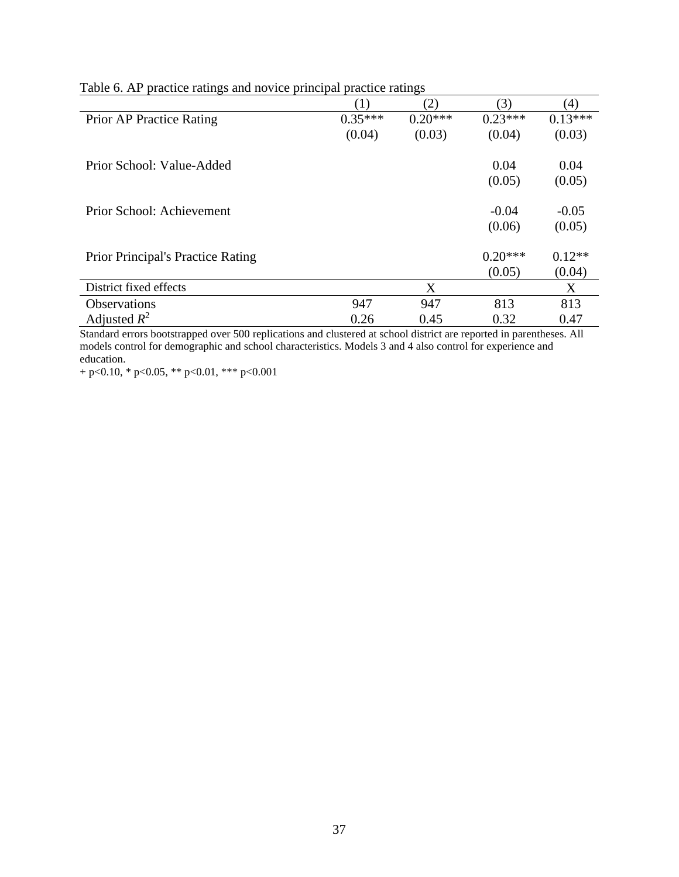|                                          | (1)       | (2)       | (3)       | (4)       |
|------------------------------------------|-----------|-----------|-----------|-----------|
| Prior AP Practice Rating                 | $0.35***$ | $0.20***$ | $0.23***$ | $0.13***$ |
|                                          | (0.04)    | (0.03)    | (0.04)    | (0.03)    |
| Prior School: Value-Added                |           |           | 0.04      | 0.04      |
|                                          |           |           | (0.05)    | (0.05)    |
| Prior School: Achievement                |           |           | $-0.04$   | $-0.05$   |
|                                          |           |           | (0.06)    | (0.05)    |
| <b>Prior Principal's Practice Rating</b> |           |           | $0.20***$ | $0.12**$  |
|                                          |           |           | (0.05)    | (0.04)    |
| District fixed effects                   |           | X         |           | X         |
| <b>Observations</b>                      | 947       | 947       | 813       | 813       |
| Adjusted $R^2$                           | 0.26      | 0.45      | 0.32      | 0.47      |

Table 6. AP practice ratings and novice principal practice ratings

Standard errors bootstrapped over 500 replications and clustered at school district are reported in parentheses. All models control for demographic and school characteristics. Models 3 and 4 also control for experience and education.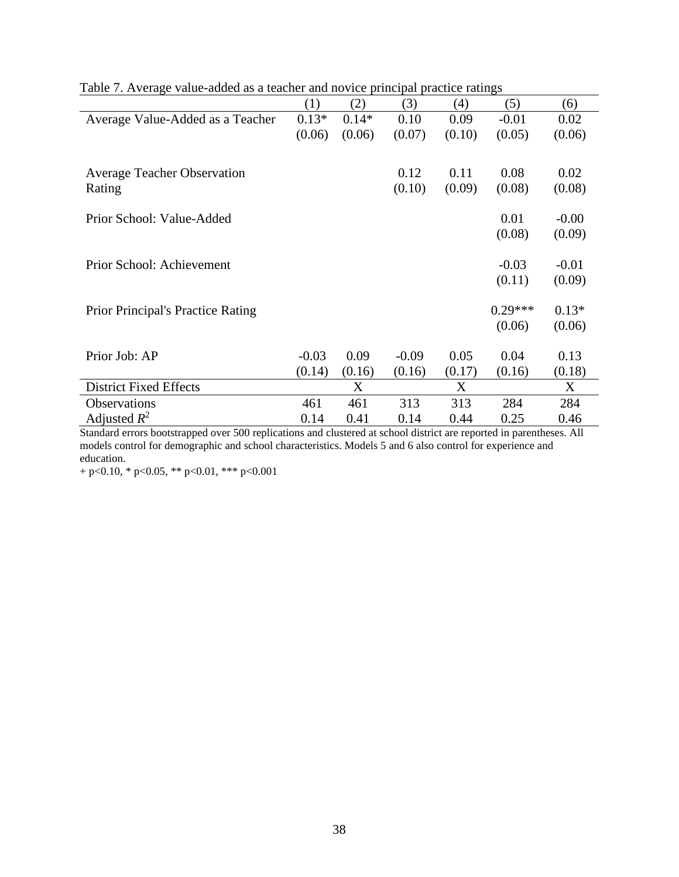|                                          | (1)     | (2)     | (3)     | (4)    | (5)       | (6)     |
|------------------------------------------|---------|---------|---------|--------|-----------|---------|
| Average Value-Added as a Teacher         | $0.13*$ | $0.14*$ | 0.10    | 0.09   | $-0.01$   | 0.02    |
|                                          | (0.06)  | (0.06)  | (0.07)  | (0.10) | (0.05)    | (0.06)  |
|                                          |         |         |         |        |           |         |
| <b>Average Teacher Observation</b>       |         |         | 0.12    | 0.11   | 0.08      | 0.02    |
| Rating                                   |         |         | (0.10)  | (0.09) | (0.08)    | (0.08)  |
|                                          |         |         |         |        |           |         |
| Prior School: Value-Added                |         |         |         |        | 0.01      | $-0.00$ |
|                                          |         |         |         |        | (0.08)    | (0.09)  |
|                                          |         |         |         |        |           |         |
| Prior School: Achievement                |         |         |         |        | $-0.03$   | $-0.01$ |
|                                          |         |         |         |        | (0.11)    | (0.09)  |
|                                          |         |         |         |        |           |         |
| <b>Prior Principal's Practice Rating</b> |         |         |         |        | $0.29***$ | $0.13*$ |
|                                          |         |         |         |        | (0.06)    | (0.06)  |
|                                          |         |         |         |        |           |         |
| Prior Job: AP                            | $-0.03$ | 0.09    | $-0.09$ | 0.05   | 0.04      | 0.13    |
|                                          | (0.14)  | (0.16)  | (0.16)  | (0.17) | (0.16)    | (0.18)  |
| <b>District Fixed Effects</b>            |         | X       |         | X      |           | X       |
| <b>Observations</b>                      | 461     | 461     | 313     | 313    | 284       | 284     |
| Adjusted $R^2$                           | 0.14    | 0.41    | 0.14    | 0.44   | 0.25      | 0.46    |

Table 7. Average value-added as a teacher and novice principal practice ratings

Standard errors bootstrapped over 500 replications and clustered at school district are reported in parentheses. All models control for demographic and school characteristics. Models 5 and 6 also control for experience and education.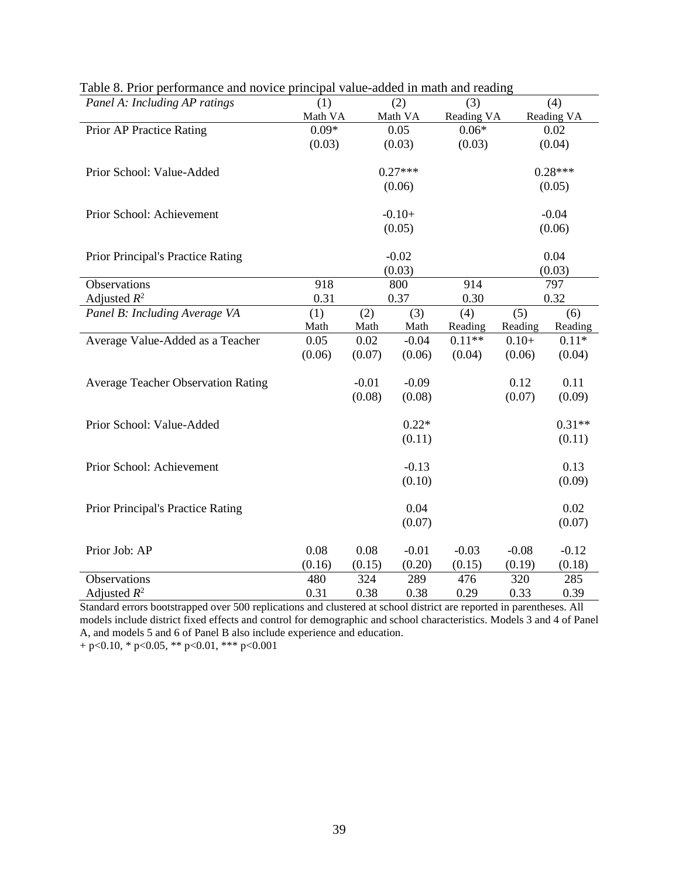| Panel A: Including AP ratings             | (1)     |          | (2)       | (3)        |         | (4)        |
|-------------------------------------------|---------|----------|-----------|------------|---------|------------|
|                                           | Math VA |          | Math VA   | Reading VA |         | Reading VA |
| Prior AP Practice Rating                  | $0.09*$ |          | 0.05      | $0.06*$    |         | 0.02       |
|                                           | (0.03)  |          | (0.03)    | (0.03)     |         | (0.04)     |
| Prior School: Value-Added                 |         |          | $0.27***$ |            |         | $0.28***$  |
|                                           |         |          | (0.06)    |            |         | (0.05)     |
| Prior School: Achievement                 |         | $-0.10+$ |           |            |         | $-0.04$    |
|                                           |         |          | (0.05)    |            |         | (0.06)     |
| Prior Principal's Practice Rating         |         |          | $-0.02$   |            |         | 0.04       |
|                                           |         |          | (0.03)    |            |         | (0.03)     |
| Observations                              | 918     |          | 800       | 914        |         | 797        |
| Adjusted $R^2$                            | 0.31    |          | 0.37      | 0.30       |         | 0.32       |
| Panel B: Including Average VA             | (1)     | (2)      | (3)       | (4)        | (5)     | (6)        |
|                                           | Math    | Math     | Math      | Reading    | Reading | Reading    |
| Average Value-Added as a Teacher          | 0.05    | 0.02     | $-0.04$   | $0.11**$   | $0.10+$ | $0.11*$    |
|                                           | (0.06)  | (0.07)   | (0.06)    | (0.04)     | (0.06)  | (0.04)     |
| <b>Average Teacher Observation Rating</b> |         | $-0.01$  | $-0.09$   |            | 0.12    | 0.11       |
|                                           |         | (0.08)   | (0.08)    |            | (0.07)  | (0.09)     |
| Prior School: Value-Added                 |         |          | $0.22*$   |            |         | $0.31**$   |
|                                           |         |          | (0.11)    |            |         | (0.11)     |
| Prior School: Achievement                 |         |          | $-0.13$   |            |         | 0.13       |
|                                           |         |          | (0.10)    |            |         | (0.09)     |
| Prior Principal's Practice Rating         |         |          | 0.04      |            |         | 0.02       |
|                                           |         |          | (0.07)    |            |         | (0.07)     |
| Prior Job: AP                             | 0.08    | 0.08     | $-0.01$   | $-0.03$    | $-0.08$ | $-0.12$    |
|                                           | (0.16)  | (0.15)   | (0.20)    | (0.15)     | (0.19)  | (0.18)     |
| Observations                              | 480     | 324      | 289       | 476        | 320     | 285        |
| Adjusted $R^2$                            | 0.31    | 0.38     | 0.38      | 0.29       | 0.33    | 0.39       |

Table 8. Prior performance and novice principal value-added in math and reading

Standard errors bootstrapped over 500 replications and clustered at school district are reported in parentheses. All models include district fixed effects and control for demographic and school characteristics. Models 3 and 4 of Panel A, and models 5 and 6 of Panel B also include experience and education.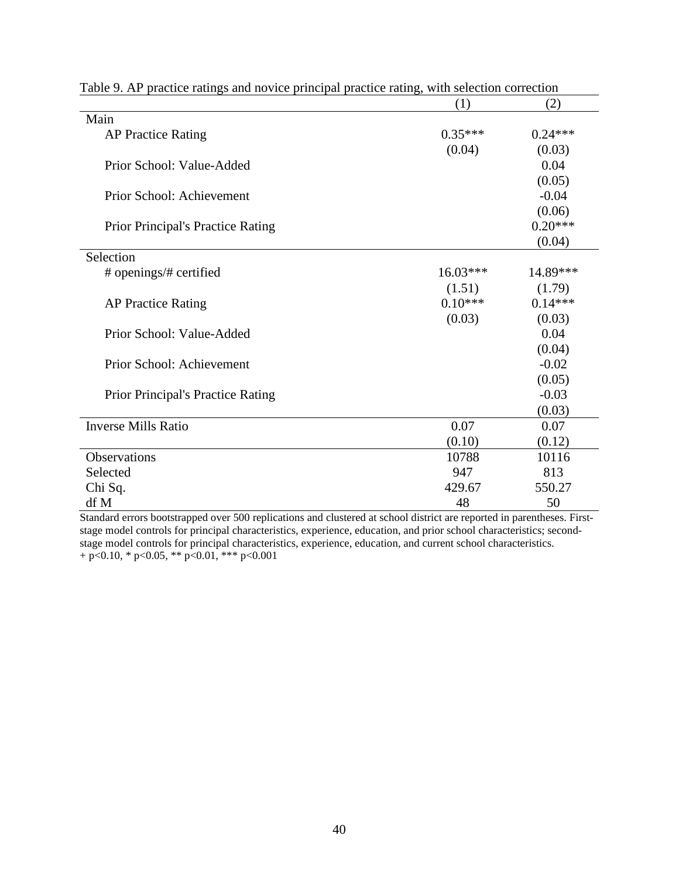|                                          | (1)        | (2)       |
|------------------------------------------|------------|-----------|
| Main                                     |            |           |
| <b>AP Practice Rating</b>                | $0.35***$  | $0.24***$ |
|                                          | (0.04)     | (0.03)    |
| Prior School: Value-Added                |            | 0.04      |
|                                          |            | (0.05)    |
| Prior School: Achievement                |            | $-0.04$   |
|                                          |            | (0.06)    |
| <b>Prior Principal's Practice Rating</b> |            | $0.20***$ |
|                                          |            | (0.04)    |
| Selection                                |            |           |
| # openings/# certified                   | $16.03***$ | 14.89***  |
|                                          | (1.51)     | (1.79)    |
| <b>AP Practice Rating</b>                | $0.10***$  | $0.14***$ |
|                                          | (0.03)     | (0.03)    |
| Prior School: Value-Added                |            | 0.04      |
|                                          |            | (0.04)    |
| Prior School: Achievement                |            | $-0.02$   |
|                                          |            | (0.05)    |
| <b>Prior Principal's Practice Rating</b> |            | $-0.03$   |
|                                          |            | (0.03)    |
| <b>Inverse Mills Ratio</b>               | 0.07       | 0.07      |
|                                          | (0.10)     | (0.12)    |
| Observations                             | 10788      | 10116     |
| Selected                                 | 947        | 813       |
| Chi Sq.                                  | 429.67     | 550.27    |
| df M                                     | 48         | 50        |

Table 9. AP practice ratings and novice principal practice rating, with selection correction

Standard errors bootstrapped over 500 replications and clustered at school district are reported in parentheses. Firststage model controls for principal characteristics, experience, education, and prior school characteristics; secondstage model controls for principal characteristics, experience, education, and current school characteristics. + p<0.10, \* p<0.05, \*\* p<0.01, \*\*\* p<0.001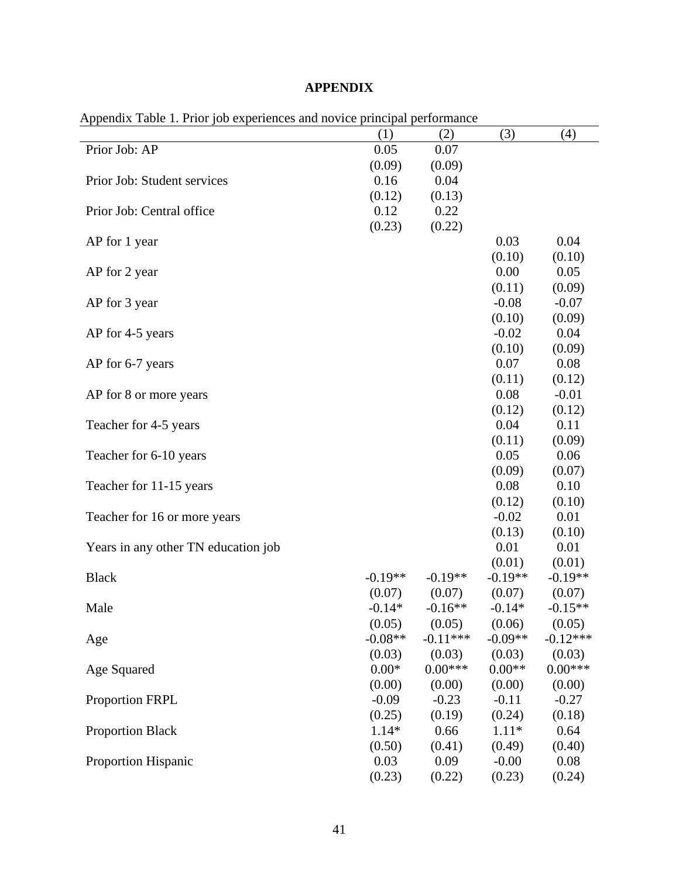# **APPENDIX**

| Appendix Table 1. Frior fob experiences and novice principal performance |        |        |         |         |  |  |  |  |  |
|--------------------------------------------------------------------------|--------|--------|---------|---------|--|--|--|--|--|
|                                                                          | (1)    | (2)    | (3)     | (4)     |  |  |  |  |  |
| Prior Job: AP                                                            | 0.05   | 0.07   |         |         |  |  |  |  |  |
|                                                                          | (0.09) | (0.09) |         |         |  |  |  |  |  |
| Prior Job: Student services                                              | 0.16   | 0.04   |         |         |  |  |  |  |  |
|                                                                          | (0.12) | (0.13) |         |         |  |  |  |  |  |
| Prior Job: Central office                                                | 0.12   | 0.22   |         |         |  |  |  |  |  |
|                                                                          | (0.23) | (0.22) |         |         |  |  |  |  |  |
| AP for 1 year                                                            |        |        | 0.03    | 0.04    |  |  |  |  |  |
|                                                                          |        |        | (0.10)  | (0.10)  |  |  |  |  |  |
| AP for 2 year                                                            |        |        | 0.00    | 0.05    |  |  |  |  |  |
|                                                                          |        |        | (0.11)  | (0.09)  |  |  |  |  |  |
| AP for 3 year                                                            |        |        | $-0.08$ | $-0.07$ |  |  |  |  |  |
|                                                                          |        |        | (0.10)  | (0.09)  |  |  |  |  |  |
| AP for 4-5 years                                                         |        |        | $-0.02$ | 0.04    |  |  |  |  |  |
|                                                                          |        |        | (0.10)  | (0.09)  |  |  |  |  |  |
| AP for 6-7 years                                                         |        |        | 0.07    | 0.08    |  |  |  |  |  |

AP for 8 or more years 0.08

Teacher for 4-5 years 0.04

Teacher for 6-10 years 0.05

Teacher for 11-15 years 0.08

Teacher for 16 or more years -0.02

Years in any other TN education job 0.01

(0.07)

 $(0.05)$ 

(0.03)

(0.00)

(0.25)

(0.50)

(0.23)

-0.19\*\*  $(0.07)$ 

-0.16\*\*  $(0.05)$ 

 $-0.11***$  $(0.03)$ 

 $0.00***$ (0.00)

> -0.23 (0.19)

> 0.66 (0.41)

> 0.09 (0.22)

Black  $-0.19**$ 

Male  $-0.14*$ 

Age  $-0.08**$ 

Age Squared 0.00\*

Proportion FRPL -0.09

Proportion Black 1.14\*

Proportion Hispanic 0.03

(0.11)

(0.12)

(0.11)

(0.09)

(0.12)

(0.13)

(0.01)

-0.19\*\* (0.07)

-0.14\* (0.06)

-0.09\*\* (0.03)

0.00\*\* (0.00)

-0.11 (0.24)

1.11\* (0.49)

-0.00 (0.23) (0.12)

-0.01 (0.12)

0.11  $(0.09)$ 

0.06 (0.07)

0.10 (0.10)

0.01 (0.10)

0.01 (0.01)

-0.19\*\*  $(0.07)$ 

 $-0.15**$  $(0.05)$ 

 $-0.12***$  $(0.03)$ 

0.00\*\*\* (0.00)

> -0.27 (0.18)

> 0.64 (0.40)

> 0.08 (0.24)

Appendix Table 1. Prior job experiences and novice principal performance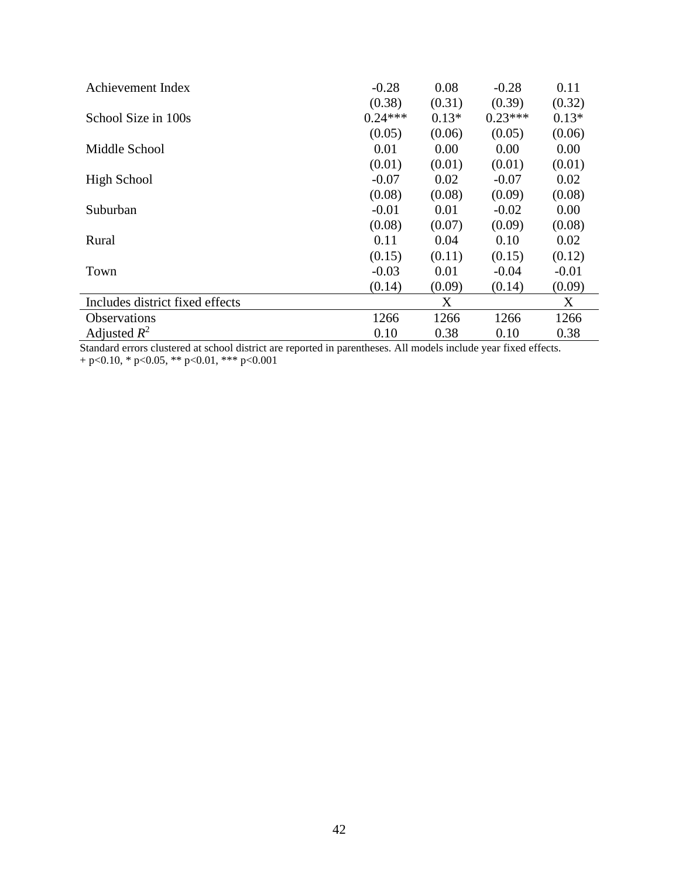| Achievement Index               | $-0.28$   | 0.08    | $-0.28$   | 0.11    |
|---------------------------------|-----------|---------|-----------|---------|
|                                 | (0.38)    | (0.31)  | (0.39)    | (0.32)  |
| School Size in 100s             | $0.24***$ | $0.13*$ | $0.23***$ | $0.13*$ |
|                                 | (0.05)    | (0.06)  | (0.05)    | (0.06)  |
| Middle School                   | 0.01      | 0.00    | 0.00      | 0.00    |
|                                 | (0.01)    | (0.01)  | (0.01)    | (0.01)  |
| High School                     | $-0.07$   | 0.02    | $-0.07$   | 0.02    |
|                                 | (0.08)    | (0.08)  | (0.09)    | (0.08)  |
| Suburban                        | $-0.01$   | 0.01    | $-0.02$   | 0.00    |
|                                 | (0.08)    | (0.07)  | (0.09)    | (0.08)  |
| Rural                           | 0.11      | 0.04    | 0.10      | 0.02    |
|                                 | (0.15)    | (0.11)  | (0.15)    | (0.12)  |
| Town                            | $-0.03$   | 0.01    | $-0.04$   | $-0.01$ |
|                                 | (0.14)    | (0.09)  | (0.14)    | (0.09)  |
| Includes district fixed effects |           | X       |           | X       |
| <b>Observations</b>             | 1266      | 1266    | 1266      | 1266    |
| Adjusted $R^2$                  | 0.10      | 0.38    | 0.10      | 0.38    |

Standard errors clustered at school district are reported in parentheses. All models include year fixed effects.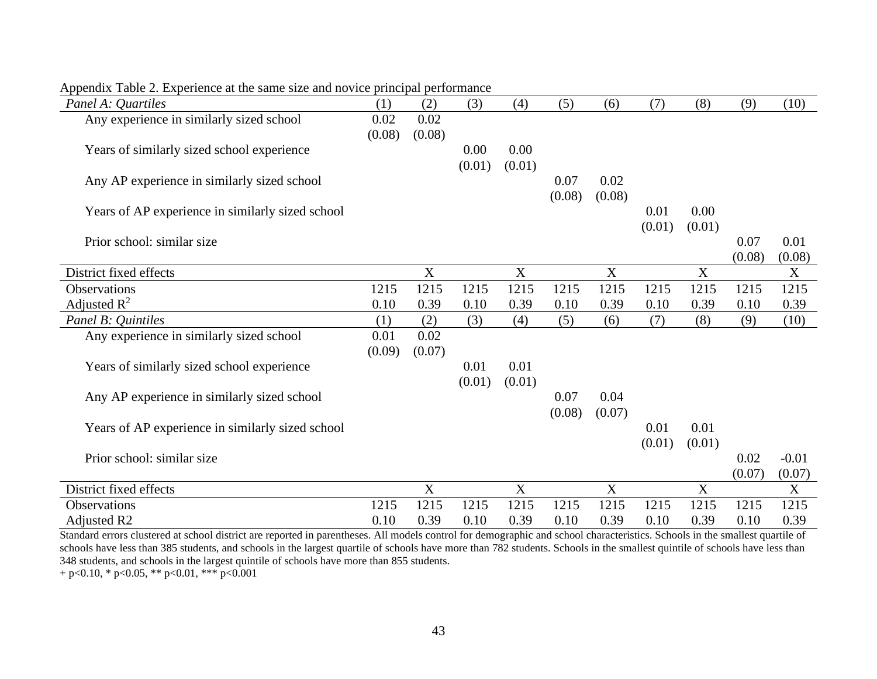| Panel A: Quartiles                               | (1)    | (2)         | (3)    | (4)                       | (5)    | (6)                       | (7)    | (8)         | (9)    | (10)    |
|--------------------------------------------------|--------|-------------|--------|---------------------------|--------|---------------------------|--------|-------------|--------|---------|
| Any experience in similarly sized school         | 0.02   | 0.02        |        |                           |        |                           |        |             |        |         |
|                                                  | (0.08) | (0.08)      |        |                           |        |                           |        |             |        |         |
| Years of similarly sized school experience       |        |             | 0.00   | 0.00                      |        |                           |        |             |        |         |
|                                                  |        |             | (0.01) | (0.01)                    |        |                           |        |             |        |         |
| Any AP experience in similarly sized school      |        |             |        |                           | 0.07   | 0.02                      |        |             |        |         |
|                                                  |        |             |        |                           | (0.08) | (0.08)                    |        |             |        |         |
| Years of AP experience in similarly sized school |        |             |        |                           |        |                           | 0.01   | 0.00        |        |         |
|                                                  |        |             |        |                           |        |                           | (0.01) | (0.01)      |        |         |
| Prior school: similar size                       |        |             |        |                           |        |                           |        |             | 0.07   | 0.01    |
|                                                  |        |             |        |                           |        |                           |        |             | (0.08) | (0.08)  |
| District fixed effects                           |        | $\mathbf X$ |        | $\mathbf X$               |        | $\mathbf X$               |        | X           |        | X       |
| Observations                                     | 1215   | 1215        | 1215   | 1215                      | 1215   | 1215                      | 1215   | 1215        | 1215   | 1215    |
| Adjusted $R^2$                                   | 0.10   | 0.39        | 0.10   | 0.39                      | 0.10   | 0.39                      | 0.10   | 0.39        | 0.10   | 0.39    |
| Panel B: Quintiles                               | (1)    | (2)         | (3)    | (4)                       | (5)    | (6)                       | (7)    | (8)         | (9)    | (10)    |
| Any experience in similarly sized school         | 0.01   | 0.02        |        |                           |        |                           |        |             |        |         |
|                                                  | (0.09) | (0.07)      |        |                           |        |                           |        |             |        |         |
| Years of similarly sized school experience       |        |             | 0.01   | 0.01                      |        |                           |        |             |        |         |
|                                                  |        |             | (0.01) | (0.01)                    |        |                           |        |             |        |         |
| Any AP experience in similarly sized school      |        |             |        |                           | 0.07   | 0.04                      |        |             |        |         |
|                                                  |        |             |        |                           | (0.08) | (0.07)                    |        |             |        |         |
| Years of AP experience in similarly sized school |        |             |        |                           |        |                           | 0.01   | 0.01        |        |         |
|                                                  |        |             |        |                           |        |                           | (0.01) | (0.01)      |        |         |
| Prior school: similar size                       |        |             |        |                           |        |                           |        |             | 0.02   | $-0.01$ |
|                                                  |        |             |        |                           |        |                           |        |             | (0.07) | (0.07)  |
| District fixed effects                           |        | X           |        | $\boldsymbol{\mathrm{X}}$ |        | $\boldsymbol{\mathrm{X}}$ |        | $\mathbf X$ |        | X       |
| Observations                                     | 1215   | 1215        | 1215   | 1215                      | 1215   | 1215                      | 1215   | 1215        | 1215   | 1215    |
| Adjusted R2                                      | 0.10   | 0.39        | 0.10   | 0.39                      | 0.10   | 0.39                      | 0.10   | 0.39        | 0.10   | 0.39    |

Appendix Table 2. Experience at the same size and novice principal performance

Standard errors clustered at school district are reported in parentheses. All models control for demographic and school characteristics. Schools in the smallest quartile of schools have less than 385 students, and schools in the largest quartile of schools have more than 782 students. Schools in the smallest quintile of schools have less than 348 students, and schools in the largest quintile of schools have more than 855 students.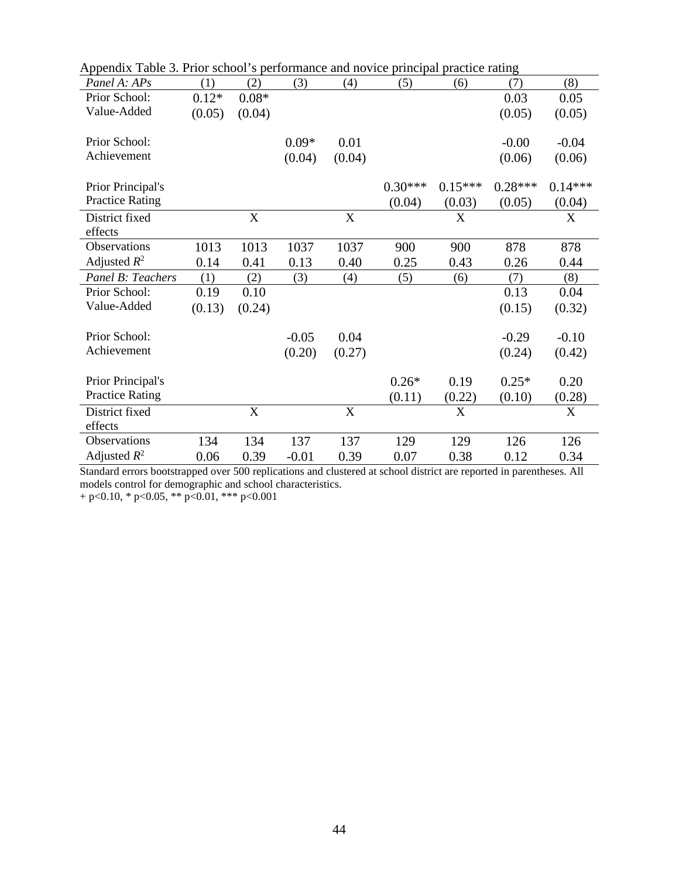| Appendix Table 3. Prior school's performance and novice principal practice rating |         |         |         |             |           |              |           |           |
|-----------------------------------------------------------------------------------|---------|---------|---------|-------------|-----------|--------------|-----------|-----------|
| Panel A: APs                                                                      | (1)     | (2)     | (3)     | (4)         | (5)       | (6)          | (7)       | (8)       |
| Prior School:                                                                     | $0.12*$ | $0.08*$ |         |             |           |              | 0.03      | 0.05      |
| Value-Added                                                                       | (0.05)  | (0.04)  |         |             |           |              | (0.05)    | (0.05)    |
| Prior School:                                                                     |         |         | $0.09*$ | 0.01        |           |              | $-0.00$   | $-0.04$   |
| Achievement                                                                       |         |         |         |             |           |              |           |           |
|                                                                                   |         |         | (0.04)  | (0.04)      |           |              | (0.06)    | (0.06)    |
| Prior Principal's                                                                 |         |         |         |             | $0.30***$ | $0.15***$    | $0.28***$ | $0.14***$ |
| <b>Practice Rating</b>                                                            |         |         |         |             | (0.04)    | (0.03)       | (0.05)    | (0.04)    |
| District fixed                                                                    |         | X       |         | $\mathbf X$ |           | X            |           | X         |
| effects                                                                           |         |         |         |             |           |              |           |           |
| Observations                                                                      | 1013    | 1013    | 1037    | 1037        | 900       | 900          | 878       | 878       |
| Adjusted $R^2$                                                                    | 0.14    | 0.41    | 0.13    | 0.40        | 0.25      | 0.43         | 0.26      | 0.44      |
| Panel B: Teachers                                                                 | (1)     | (2)     | (3)     | (4)         | (5)       | (6)          | (7)       | (8)       |
| Prior School:                                                                     | 0.19    | 0.10    |         |             |           |              | 0.13      | 0.04      |
| Value-Added                                                                       | (0.13)  | (0.24)  |         |             |           |              | (0.15)    | (0.32)    |
|                                                                                   |         |         |         |             |           |              |           |           |
| Prior School:                                                                     |         |         | $-0.05$ | 0.04        |           |              | $-0.29$   | $-0.10$   |
| Achievement                                                                       |         |         | (0.20)  | (0.27)      |           |              | (0.24)    | (0.42)    |
|                                                                                   |         |         |         |             |           |              |           |           |
| Prior Principal's                                                                 |         |         |         |             | $0.26*$   | 0.19         | $0.25*$   | 0.20      |
| <b>Practice Rating</b>                                                            |         |         |         |             | (0.11)    | (0.22)       | (0.10)    | (0.28)    |
| District fixed                                                                    |         | X       |         | X           |           | $\mathbf{X}$ |           | X         |
| effects                                                                           |         |         |         |             |           |              |           |           |
| Observations                                                                      | 134     | 134     | 137     | 137         | 129       | 129          | 126       | 126       |
| Adjusted $R^2$                                                                    | 0.06    | 0.39    | $-0.01$ | 0.39        | 0.07      | 0.38         | 0.12      | 0.34      |

Appendix Table 3. Prior school's performance and novice principal practice rating

Standard errors bootstrapped over 500 replications and clustered at school district are reported in parentheses. All models control for demographic and school characteristics.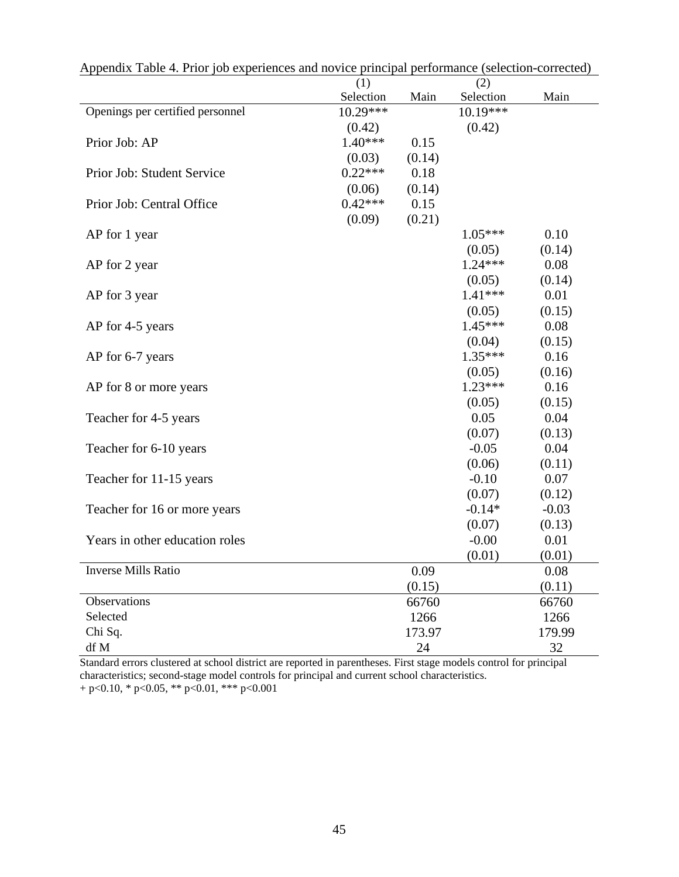|                                  | pinnenpun<br>(1) |        | (2)       |          |
|----------------------------------|------------------|--------|-----------|----------|
|                                  | Selection        | Main   | Selection | Main     |
| Openings per certified personnel | 10.29***         |        | 10.19***  |          |
|                                  | (0.42)           |        | (0.42)    |          |
| Prior Job: AP                    | $1.40***$        | 0.15   |           |          |
|                                  | (0.03)           | (0.14) |           |          |
| Prior Job: Student Service       | $0.22***$        | 0.18   |           |          |
|                                  | (0.06)           | (0.14) |           |          |
| Prior Job: Central Office        | $0.42***$        | 0.15   |           |          |
|                                  | (0.09)           | (0.21) |           |          |
| AP for 1 year                    |                  |        | $1.05***$ | 0.10     |
|                                  |                  |        | (0.05)    | (0.14)   |
| AP for 2 year                    |                  |        | $1.24***$ | 0.08     |
|                                  |                  |        | (0.05)    | (0.14)   |
| AP for 3 year                    |                  |        | $1.41***$ | 0.01     |
|                                  |                  |        | (0.05)    | (0.15)   |
| AP for 4-5 years                 |                  |        | $1.45***$ | 0.08     |
|                                  |                  |        | (0.04)    | (0.15)   |
| AP for 6-7 years                 |                  |        | $1.35***$ | 0.16     |
|                                  |                  |        | (0.05)    | (0.16)   |
| AP for 8 or more years           |                  |        | $1.23***$ | 0.16     |
|                                  |                  |        | (0.05)    | (0.15)   |
| Teacher for 4-5 years            |                  |        | 0.05      | 0.04     |
|                                  |                  |        | (0.07)    | (0.13)   |
| Teacher for 6-10 years           |                  |        | $-0.05$   | 0.04     |
|                                  |                  |        | (0.06)    | (0.11)   |
| Teacher for 11-15 years          |                  |        | $-0.10$   | 0.07     |
|                                  |                  |        | (0.07)    | (0.12)   |
| Teacher for 16 or more years     |                  |        | $-0.14*$  | $-0.03$  |
|                                  |                  |        | (0.07)    | (0.13)   |
| Years in other education roles   |                  |        | $-0.00$   | 0.01     |
|                                  |                  |        | (0.01)    | (0.01)   |
| Inverse Mills Ratio              |                  | 0.09   |           | $0.08\,$ |
|                                  |                  | (0.15) |           | (0.11)   |
| Observations                     |                  | 66760  |           | 66760    |
| Selected                         |                  | 1266   |           | 1266     |
| Chi Sq.                          |                  | 173.97 |           | 179.99   |
| df M                             |                  | 24     |           | 32       |

Appendix Table 4. Prior job experiences and novice principal performance (selection-corrected)

Standard errors clustered at school district are reported in parentheses. First stage models control for principal characteristics; second-stage model controls for principal and current school characteristics.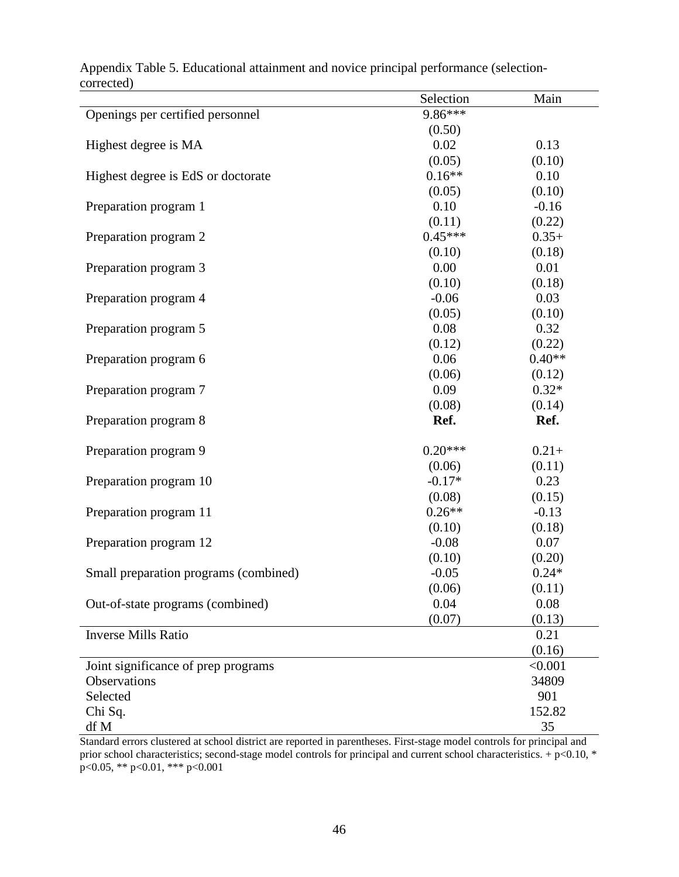|                                       | Selection | Main     |
|---------------------------------------|-----------|----------|
| Openings per certified personnel      | 9.86***   |          |
|                                       | (0.50)    |          |
| Highest degree is MA                  | 0.02      | 0.13     |
|                                       | (0.05)    | (0.10)   |
| Highest degree is EdS or doctorate    | $0.16**$  | 0.10     |
|                                       | (0.05)    | (0.10)   |
| Preparation program 1                 | 0.10      | $-0.16$  |
|                                       | (0.11)    | (0.22)   |
| Preparation program 2                 | $0.45***$ | $0.35+$  |
|                                       | (0.10)    | (0.18)   |
| Preparation program 3                 | 0.00      | 0.01     |
|                                       | (0.10)    | (0.18)   |
| Preparation program 4                 | $-0.06$   | 0.03     |
|                                       | (0.05)    | (0.10)   |
| Preparation program 5                 | 0.08      | 0.32     |
|                                       | (0.12)    | (0.22)   |
| Preparation program 6                 | 0.06      | $0.40**$ |
|                                       | (0.06)    | (0.12)   |
| Preparation program 7                 | 0.09      | $0.32*$  |
|                                       | (0.08)    | (0.14)   |
| Preparation program 8                 | Ref.      | Ref.     |
| Preparation program 9                 | $0.20***$ | $0.21+$  |
|                                       | (0.06)    | (0.11)   |
| Preparation program 10                | $-0.17*$  | 0.23     |
|                                       | (0.08)    | (0.15)   |
| Preparation program 11                | $0.26**$  | $-0.13$  |
|                                       | (0.10)    | (0.18)   |
| Preparation program 12                | $-0.08$   | 0.07     |
|                                       | (0.10)    | (0.20)   |
| Small preparation programs (combined) | $-0.05$   | $0.24*$  |
|                                       | (0.06)    | (0.11)   |
| Out-of-state programs (combined)      | 0.04      | 0.08     |
|                                       | (0.07)    | (0.13)   |
| <b>Inverse Mills Ratio</b>            |           | 0.21     |
|                                       |           | (0.16)   |
| Joint significance of prep programs   |           | < 0.001  |
| Observations                          |           | 34809    |
| Selected                              |           | 901      |
| Chi Sq.                               |           | 152.82   |
| df M                                  |           | 35       |

Appendix Table 5. Educational attainment and novice principal performance (selectioncorrected)

Standard errors clustered at school district are reported in parentheses. First-stage model controls for principal and prior school characteristics; second-stage model controls for principal and current school characteristics. + p<0.10, \* p<0.05, \*\* p<0.01, \*\*\* p<0.001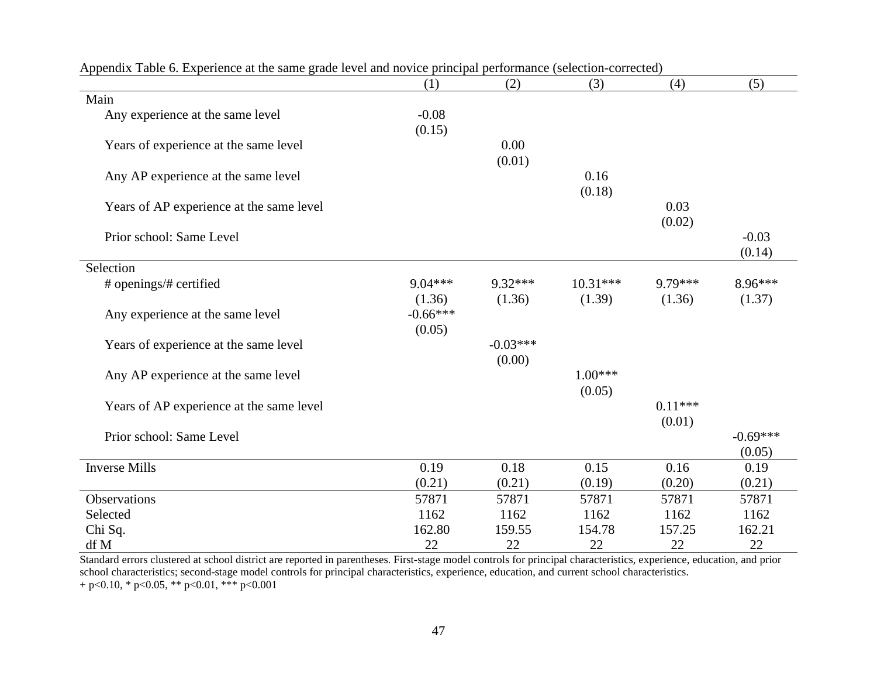|                                          | (1)        | (2)        | (3)        | (4)       | (5)        |
|------------------------------------------|------------|------------|------------|-----------|------------|
| Main                                     |            |            |            |           |            |
| Any experience at the same level         | $-0.08$    |            |            |           |            |
|                                          | (0.15)     |            |            |           |            |
| Years of experience at the same level    |            | 0.00       |            |           |            |
|                                          |            | (0.01)     |            |           |            |
| Any AP experience at the same level      |            |            | 0.16       |           |            |
|                                          |            |            | (0.18)     |           |            |
| Years of AP experience at the same level |            |            |            | 0.03      |            |
|                                          |            |            |            | (0.02)    |            |
| Prior school: Same Level                 |            |            |            |           | $-0.03$    |
|                                          |            |            |            |           | (0.14)     |
| Selection                                |            |            |            |           |            |
| # openings/# certified                   | $9.04***$  | $9.32***$  | $10.31***$ | 9.79***   | $8.96***$  |
|                                          | (1.36)     | (1.36)     | (1.39)     | (1.36)    | (1.37)     |
| Any experience at the same level         | $-0.66***$ |            |            |           |            |
|                                          | (0.05)     | $-0.03***$ |            |           |            |
| Years of experience at the same level    |            |            |            |           |            |
|                                          |            | (0.00)     | $1.00***$  |           |            |
| Any AP experience at the same level      |            |            | (0.05)     |           |            |
| Years of AP experience at the same level |            |            |            | $0.11***$ |            |
|                                          |            |            |            | (0.01)    |            |
| Prior school: Same Level                 |            |            |            |           | $-0.69***$ |
|                                          |            |            |            |           | (0.05)     |
| <b>Inverse Mills</b>                     | 0.19       | 0.18       | 0.15       | 0.16      | 0.19       |
|                                          | (0.21)     | (0.21)     | (0.19)     | (0.20)    | (0.21)     |
| Observations                             | 57871      | 57871      | 57871      | 57871     | 57871      |
| Selected                                 | 1162       | 1162       | 1162       | 1162      | 1162       |
| Chi Sq.                                  | 162.80     | 159.55     | 154.78     | 157.25    | 162.21     |
| df M                                     | 22         | 22         | 22         | 22        | 22         |

Appendix Table 6. Experience at the same grade level and novice principal performance (selection-corrected)

Standard errors clustered at school district are reported in parentheses. First-stage model controls for principal characteristics, experience, education, and prior school characteristics; second-stage model controls for principal characteristics, experience, education, and current school characteristics. + p<0.10, \* p<0.05, \*\* p<0.01, \*\*\* p<0.001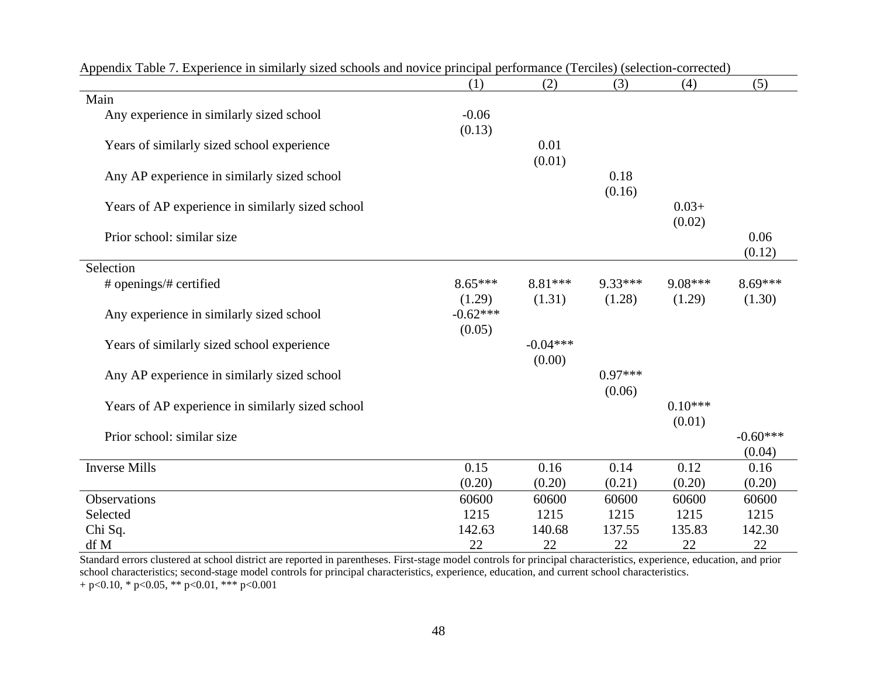| террения табы 7. Елрененсе нгзиннаггу зілей зенобіз ани почісе ринератреногитансе (тегенся) (зенесной-сонески) | (1)        | (2)        | (3)       | (4)       | (5)        |
|----------------------------------------------------------------------------------------------------------------|------------|------------|-----------|-----------|------------|
| Main                                                                                                           |            |            |           |           |            |
| Any experience in similarly sized school                                                                       | $-0.06$    |            |           |           |            |
|                                                                                                                | (0.13)     |            |           |           |            |
| Years of similarly sized school experience                                                                     |            | 0.01       |           |           |            |
|                                                                                                                |            | (0.01)     |           |           |            |
| Any AP experience in similarly sized school                                                                    |            |            | 0.18      |           |            |
|                                                                                                                |            |            | (0.16)    |           |            |
| Years of AP experience in similarly sized school                                                               |            |            |           | $0.03+$   |            |
|                                                                                                                |            |            |           | (0.02)    |            |
| Prior school: similar size                                                                                     |            |            |           |           | 0.06       |
|                                                                                                                |            |            |           |           | (0.12)     |
| Selection                                                                                                      |            |            |           |           |            |
| # openings/# certified                                                                                         | $8.65***$  | 8.81 ***   | 9.33***   | $9.08***$ | $8.69***$  |
|                                                                                                                | (1.29)     | (1.31)     | (1.28)    | (1.29)    | (1.30)     |
| Any experience in similarly sized school                                                                       | $-0.62***$ |            |           |           |            |
|                                                                                                                | (0.05)     |            |           |           |            |
| Years of similarly sized school experience                                                                     |            | $-0.04***$ |           |           |            |
|                                                                                                                |            | (0.00)     |           |           |            |
| Any AP experience in similarly sized school                                                                    |            |            | $0.97***$ |           |            |
|                                                                                                                |            |            | (0.06)    |           |            |
| Years of AP experience in similarly sized school                                                               |            |            |           | $0.10***$ |            |
|                                                                                                                |            |            |           | (0.01)    |            |
| Prior school: similar size                                                                                     |            |            |           |           | $-0.60***$ |
|                                                                                                                |            |            |           |           | (0.04)     |
| <b>Inverse Mills</b>                                                                                           | 0.15       | 0.16       | 0.14      | 0.12      | 0.16       |
|                                                                                                                | (0.20)     | (0.20)     | (0.21)    | (0.20)    | (0.20)     |
| Observations                                                                                                   | 60600      | 60600      | 60600     | 60600     | 60600      |
| Selected                                                                                                       | 1215       | 1215       | 1215      | 1215      | 1215       |
| Chi Sq.                                                                                                        | 142.63     | 140.68     | 137.55    | 135.83    | 142.30     |
| df M                                                                                                           | 22         | 22         | 22        | 22        | 22         |

Appendix Table 7. Experience in similarly sized schools and novice principal performance (Terciles) (selection-corrected)

Standard errors clustered at school district are reported in parentheses. First-stage model controls for principal characteristics, experience, education, and prior school characteristics; second-stage model controls for principal characteristics, experience, education, and current school characteristics. + p<0.10, \* p<0.05, \*\* p<0.01, \*\*\* p<0.001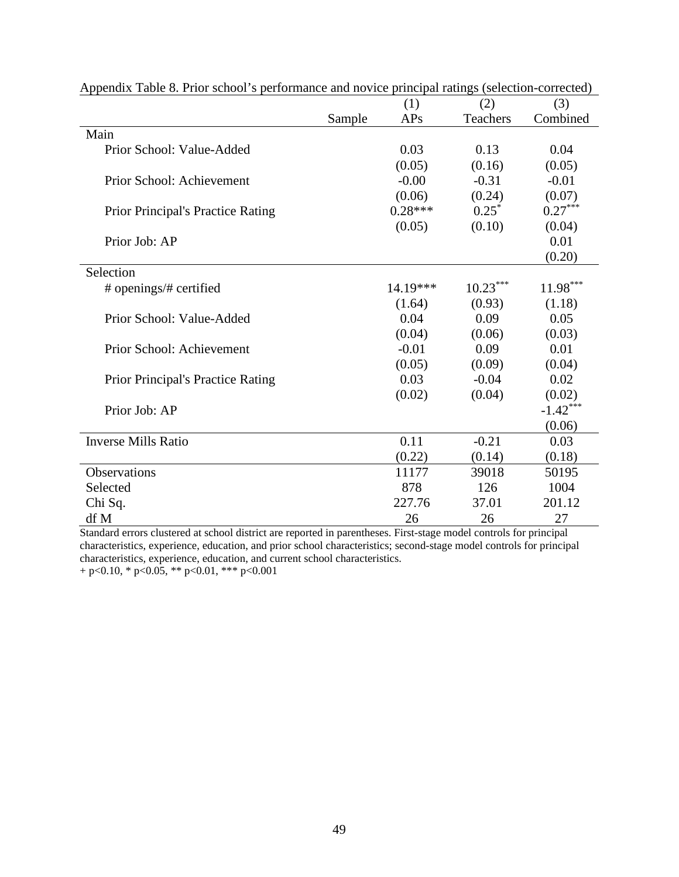|                                          |        | (1)       | (2)        | (3)        |
|------------------------------------------|--------|-----------|------------|------------|
|                                          | Sample | APs       | Teachers   | Combined   |
| Main                                     |        |           |            |            |
| Prior School: Value-Added                |        | 0.03      | 0.13       | 0.04       |
|                                          |        | (0.05)    | (0.16)     | (0.05)     |
| Prior School: Achievement                |        | $-0.00$   | $-0.31$    | $-0.01$    |
|                                          |        | (0.06)    | (0.24)     | (0.07)     |
| <b>Prior Principal's Practice Rating</b> |        | $0.28***$ | $0.25^*$   | $0.27***$  |
|                                          |        | (0.05)    | (0.10)     | (0.04)     |
| Prior Job: AP                            |        |           |            | 0.01       |
|                                          |        |           |            | (0.20)     |
| Selection                                |        |           |            |            |
| # openings/# certified                   |        | 14.19***  | $10.23***$ | $11.98***$ |
|                                          |        | (1.64)    | (0.93)     | (1.18)     |
| Prior School: Value-Added                |        | 0.04      | 0.09       | 0.05       |
|                                          |        | (0.04)    | (0.06)     | (0.03)     |
| Prior School: Achievement                |        | $-0.01$   | 0.09       | 0.01       |
|                                          |        | (0.05)    | (0.09)     | (0.04)     |
| <b>Prior Principal's Practice Rating</b> |        | 0.03      | $-0.04$    | 0.02       |
|                                          |        | (0.02)    | (0.04)     | (0.02)     |
| Prior Job: AP                            |        |           |            | $-1.42***$ |
|                                          |        |           |            | (0.06)     |
| <b>Inverse Mills Ratio</b>               |        | 0.11      | $-0.21$    | 0.03       |
|                                          |        | (0.22)    | (0.14)     | (0.18)     |
| <b>Observations</b>                      |        | 11177     | 39018      | 50195      |
| Selected                                 |        | 878       | 126        | 1004       |
| Chi Sq.                                  |        | 227.76    | 37.01      | 201.12     |
| df M                                     |        | 26        | 26         | 27         |

Appendix Table 8. Prior school's performance and novice principal ratings (selection-corrected)

Standard errors clustered at school district are reported in parentheses. First-stage model controls for principal characteristics, experience, education, and prior school characteristics; second-stage model controls for principal characteristics, experience, education, and current school characteristics.